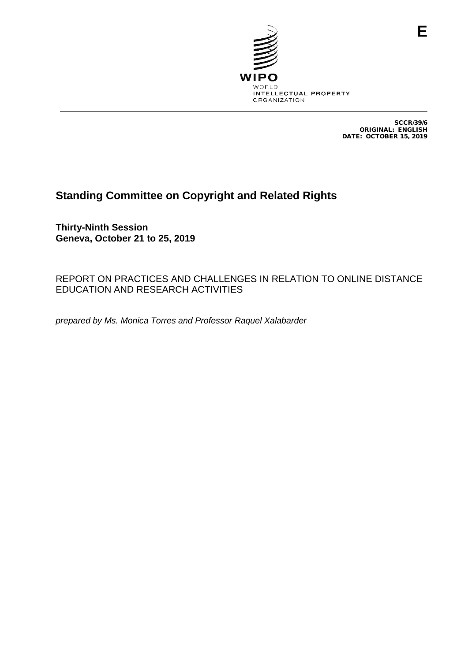

SCCR/39/6 ORIGINAL: ENGLISH DATE: OCTOBER 15, 2019

# **Standing Committee on Copyright and Related Rights**

**Thirty-Ninth Session Geneva, October 21 to 25, 2019**

REPORT ON PRACTICES AND CHALLENGES IN RELATION TO ONLINE DISTANCE EDUCATION AND RESEARCH ACTIVITIES

*prepared by Ms. Monica Torres and Professor Raquel Xalabarder*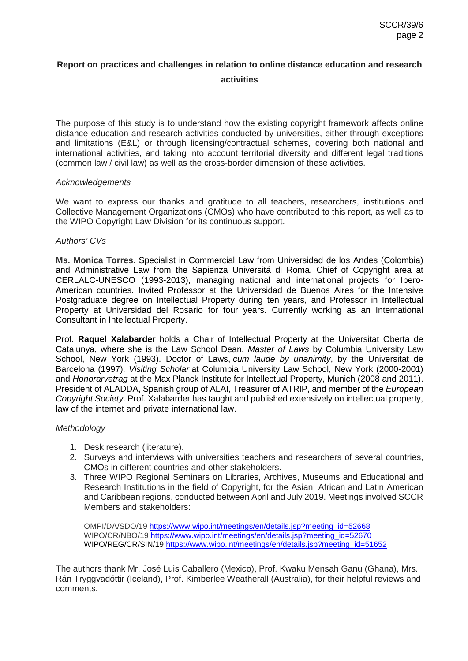# **Report on practices and challenges in relation to online distance education and research activities**

The purpose of this study is to understand how the existing copyright framework affects online distance education and research activities conducted by universities, either through exceptions and limitations (E&L) or through licensing/contractual schemes, covering both national and international activities, and taking into account territorial diversity and different legal traditions (common law / civil law) as well as the cross-border dimension of these activities.

#### *Acknowledgements*

We want to express our thanks and gratitude to all teachers, researchers, institutions and Collective Management Organizations (CMOs) who have contributed to this report, as well as to the WIPO Copyright Law Division for its continuous support.

### *Authors' CVs*

**Ms. Monica Torres**. Specialist in Commercial Law from Universidad de los Andes (Colombia) and Administrative Law from the Sapienza Universitá di Roma. Chief of Copyright area at CERLALC-UNESCO (1993-2013), managing national and international projects for Ibero-American countries. Invited Professor at the Universidad de Buenos Aires for the Intensive Postgraduate degree on Intellectual Property during ten years, and Professor in Intellectual Property at Universidad del Rosario for four years. Currently working as an International Consultant in Intellectual Property.

Prof. **Raquel Xalabarder** holds a Chair of Intellectual Property at the Universitat Oberta de Catalunya, where she is the Law School Dean. *Master of Laws* by Columbia University Law School, New York (1993). Doctor of Laws, *cum laude by unanimity*, by the Universitat de Barcelona (1997). *Visiting Scholar* at Columbia University Law School, New York (2000-2001) and *Honorarvetrag* at the Max Planck Institute for Intellectual Property, Munich (2008 and 2011). President of ALADDA, Spanish group of ALAI, Treasurer of ATRIP, and member of the *European Copyright Society*. Prof. Xalabarder has taught and published extensively on intellectual property, law of the internet and private international law.

### *Methodology*

- 1. Desk research (literature).
- 2. Surveys and interviews with universities teachers and researchers of several countries, CMOs in different countries and other stakeholders.
- 3. Three WIPO Regional Seminars on Libraries, Archives, Museums and Educational and Research Institutions in the field of Copyright, for the Asian, African and Latin American and Caribbean regions, conducted between April and July 2019. Meetings involved SCCR Members and stakeholders:

OMPI/DA/SDO/19 [https://www.wipo.int/meetings/en/details.jsp?meeting\\_id=52668](https://www.wipo.int/meetings/en/details.jsp?meeting_id=52668) WIPO/CR/NBO/19 [https://www.wipo.int/meetings/en/details.jsp?meeting\\_id=52670](https://www.wipo.int/meetings/en/details.jsp?meeting_id=52670) WIPO/REG/CR/SIN/19 [https://www.wipo.int/meetings/en/details.jsp?meeting\\_id=51652](https://www.wipo.int/meetings/en/details.jsp?meeting_id=51652)

The authors thank Mr. José Luis Caballero (Mexico), Prof. Kwaku Mensah Ganu (Ghana), Mrs. Rán Tryggvadóttir (Iceland), Prof. Kimberlee Weatherall (Australia), for their helpful reviews and comments.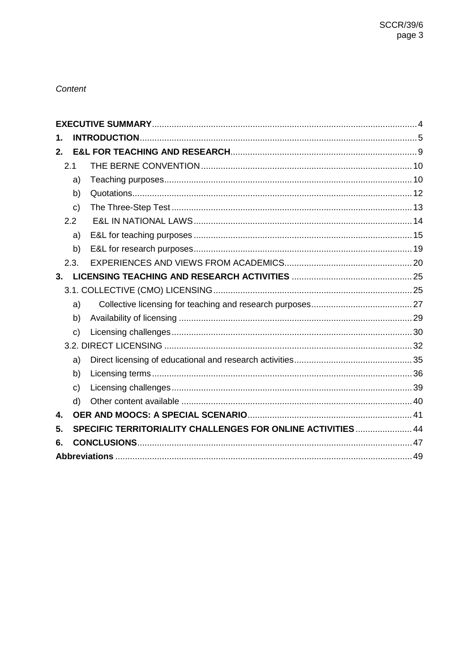### Content

| 1. |              |                                                              |  |  |
|----|--------------|--------------------------------------------------------------|--|--|
| 2. |              |                                                              |  |  |
|    | 2.1          |                                                              |  |  |
|    | a)           |                                                              |  |  |
|    | b)           |                                                              |  |  |
|    | $\mathbf{C}$ |                                                              |  |  |
|    | 2.2          |                                                              |  |  |
|    | a)           |                                                              |  |  |
|    | b)           |                                                              |  |  |
|    | 2.3.         |                                                              |  |  |
| 3. |              |                                                              |  |  |
|    |              |                                                              |  |  |
|    | a)           |                                                              |  |  |
|    | b)           |                                                              |  |  |
|    | $\mathbf{C}$ |                                                              |  |  |
|    |              |                                                              |  |  |
|    | a)           |                                                              |  |  |
|    | b)           |                                                              |  |  |
|    | $\mathsf{c}$ |                                                              |  |  |
|    | d)           |                                                              |  |  |
| 4. |              |                                                              |  |  |
| 5. |              | SPECIFIC TERRITORIALITY CHALLENGES FOR ONLINE ACTIVITIES  44 |  |  |
| 6. |              |                                                              |  |  |
|    |              |                                                              |  |  |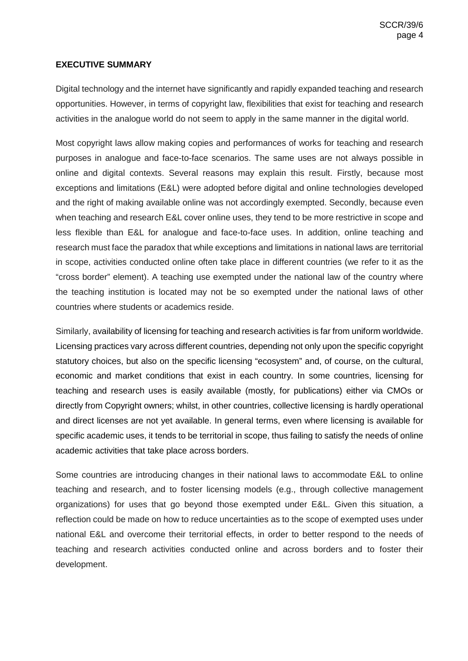## <span id="page-3-0"></span>**EXECUTIVE SUMMARY**

Digital technology and the internet have significantly and rapidly expanded teaching and research opportunities. However, in terms of copyright law, flexibilities that exist for teaching and research activities in the analogue world do not seem to apply in the same manner in the digital world.

Most copyright laws allow making copies and performances of works for teaching and research purposes in analogue and face-to-face scenarios. The same uses are not always possible in online and digital contexts. Several reasons may explain this result. Firstly, because most exceptions and limitations (E&L) were adopted before digital and online technologies developed and the right of making available online was not accordingly exempted. Secondly, because even when teaching and research E&L cover online uses, they tend to be more restrictive in scope and less flexible than E&L for analogue and face-to-face uses. In addition, online teaching and research must face the paradox that while exceptions and limitations in national laws are territorial in scope, activities conducted online often take place in different countries (we refer to it as the "cross border" element). A teaching use exempted under the national law of the country where the teaching institution is located may not be so exempted under the national laws of other countries where students or academics reside.

Similarly, availability of licensing for teaching and research activities is far from uniform worldwide. Licensing practices vary across different countries, depending not only upon the specific copyright statutory choices, but also on the specific licensing "ecosystem" and, of course, on the cultural, economic and market conditions that exist in each country. In some countries, licensing for teaching and research uses is easily available (mostly, for publications) either via CMOs or directly from Copyright owners; whilst, in other countries, collective licensing is hardly operational and direct licenses are not yet available. In general terms, even where licensing is available for specific academic uses, it tends to be territorial in scope, thus failing to satisfy the needs of online academic activities that take place across borders.

Some countries are introducing changes in their national laws to accommodate E&L to online teaching and research, and to foster licensing models (e.g., through collective management organizations) for uses that go beyond those exempted under E&L. Given this situation, a reflection could be made on how to reduce uncertainties as to the scope of exempted uses under national E&L and overcome their territorial effects, in order to better respond to the needs of teaching and research activities conducted online and across borders and to foster their development.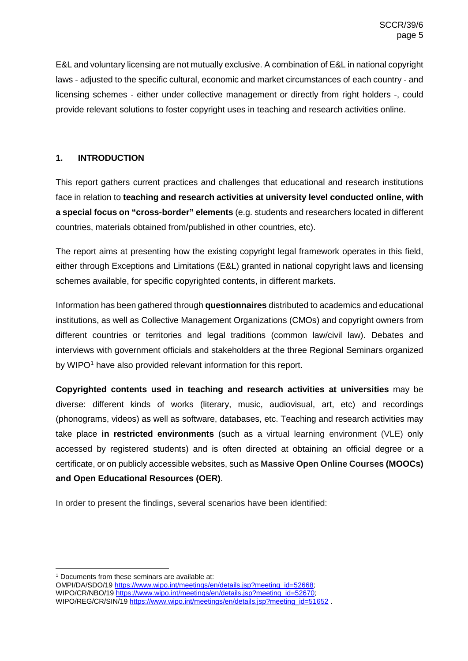E&L and voluntary licensing are not mutually exclusive. A combination of E&L in national copyright laws - adjusted to the specific cultural, economic and market circumstances of each country - and licensing schemes - either under collective management or directly from right holders -, could provide relevant solutions to foster copyright uses in teaching and research activities online.

# <span id="page-4-0"></span>**1. INTRODUCTION**

This report gathers current practices and challenges that educational and research institutions face in relation to **teaching and research activities at university level conducted online, with a special focus on "cross-border" elements** (e.g. students and researchers located in different countries, materials obtained from/published in other countries, etc).

The report aims at presenting how the existing copyright legal framework operates in this field, either through Exceptions and Limitations (E&L) granted in national copyright laws and licensing schemes available, for specific copyrighted contents, in different markets.

Information has been gathered through **questionnaires** distributed to academics and educational institutions, as well as Collective Management Organizations (CMOs) and copyright owners from different countries or territories and legal traditions (common law/civil law). Debates and interviews with government officials and stakeholders at the three Regional Seminars organized by WIPO<sup>1</sup> have also provided relevant information for this report.

**Copyrighted contents used in teaching and research activities at universities** may be diverse: different kinds of works (literary, music, audiovisual, art, etc) and recordings (phonograms, videos) as well as software, databases, etc. Teaching and research activities may take place **in restricted environments** (such as a virtual learning environment (VLE) only accessed by registered students) and is often directed at obtaining an official degree or a certificate, or on publicly accessible websites, such as **Massive Open Online Courses (MOOCs) and Open Educational Resources (OER)**.

In order to present the findings, several scenarios have been identified:

<span id="page-4-1"></span><sup>&</sup>lt;sup>1</sup> Documents from these seminars are available at:

OMPI/DA/SDO/19 [https://www.wipo.int/meetings/en/details.jsp?meeting\\_id=52668;](https://www.wipo.int/meetings/en/details.jsp?meeting_id=52668) WIPO/CR/NBO/19 https://www.wipo.int/meetings/en/details.jsp?meeting\_id=52670; WIPO/REG/CR/SIN/19 [https://www.wipo.int/meetings/en/details.jsp?meeting\\_id=51652](https://www.wipo.int/meetings/en/details.jsp?meeting_id=51652) .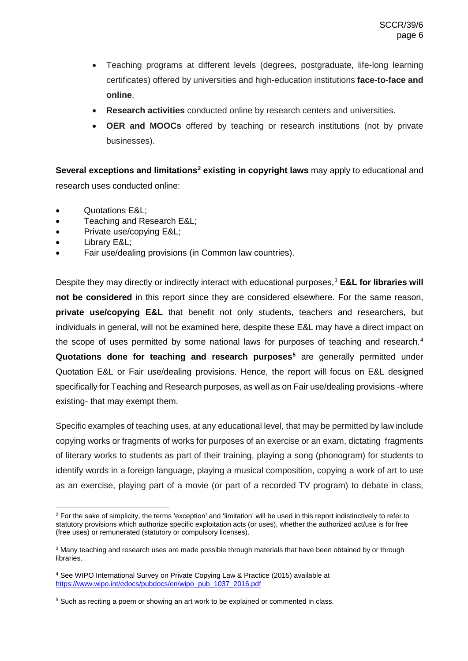- Teaching programs at different levels (degrees, postgraduate, life-long learning certificates) offered by universities and high-education institutions **face-to-face and online**,
- **Research activities** conducted online by research centers and universities.
- **OER and MOOCs** offered by teaching or research institutions (not by private businesses).

**Several exceptions and limitations[2](#page-5-0) existing in copyright laws** may apply to educational and research uses conducted online:

- Quotations E&L;
- Teaching and Research E&L;
- Private use/copying E&L;
- Library E&L;
- Fair use/dealing provisions (in Common law countries).

Despite they may directly or indirectly interact with educational purposes,<sup>[3](#page-5-1)</sup> E&L for libraries will **not be considered** in this report since they are considered elsewhere. For the same reason, **private use/copying E&L** that benefit not only students, teachers and researchers, but individuals in general, will not be examined here, despite these E&L may have a direct impact on the scope of uses permitted by some national laws for purposes of teaching and research.<sup>[4](#page-5-2)</sup> **Quotations done for teaching and research purposes<sup>5</sup> are generally permitted under** Quotation E&L or Fair use/dealing provisions. Hence, the report will focus on E&L designed specifically for Teaching and Research purposes, as well as on Fair use/dealing provisions -where existing- that may exempt them.

Specific examples of teaching uses, at any educational level, that may be permitted by law include copying works or fragments of works for purposes of an exercise or an exam, dictating fragments of literary works to students as part of their training, playing a song (phonogram) for students to identify words in a foreign language, playing a musical composition, copying a work of art to use as an exercise, playing part of a movie (or part of a recorded TV program) to debate in class,

<span id="page-5-0"></span> $2$  For the sake of simplicity, the terms 'exception' and 'limitation' will be used in this report indistinctively to refer to statutory provisions which authorize specific exploitation acts (or uses), whether the authorized act/use is for free (free uses) or remunerated (statutory or compulsory licenses).

<span id="page-5-1"></span><sup>&</sup>lt;sup>3</sup> Many teaching and research uses are made possible through materials that have been obtained by or through libraries.

<span id="page-5-2"></span><sup>4</sup> See WIPO International Survey on Private Copying Law & Practice (2015) available at [https://www.wipo.int/edocs/pubdocs/en/wipo\\_pub\\_1037\\_2016.pdf](https://www.wipo.int/edocs/pubdocs/en/wipo_pub_1037_2016.pdf)

<span id="page-5-3"></span><sup>&</sup>lt;sup>5</sup> Such as reciting a poem or showing an art work to be explained or commented in class.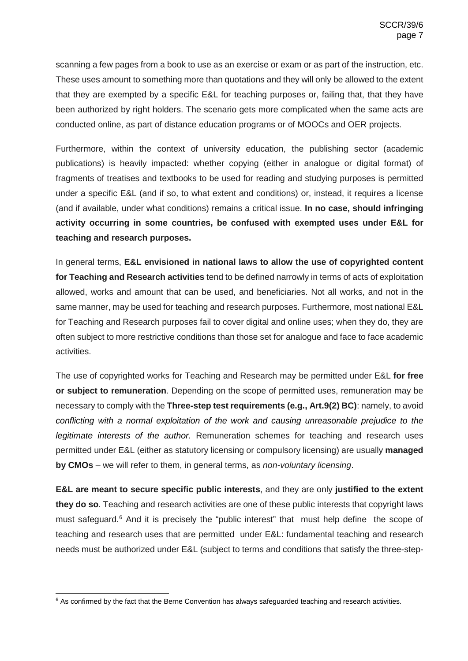scanning a few pages from a book to use as an exercise or exam or as part of the instruction, etc. These uses amount to something more than quotations and they will only be allowed to the extent that they are exempted by a specific E&L for teaching purposes or, failing that, that they have been authorized by right holders. The scenario gets more complicated when the same acts are conducted online, as part of distance education programs or of MOOCs and OER projects.

Furthermore, within the context of university education, the publishing sector (academic publications) is heavily impacted: whether copying (either in analogue or digital format) of fragments of treatises and textbooks to be used for reading and studying purposes is permitted under a specific E&L (and if so, to what extent and conditions) or, instead, it requires a license (and if available, under what conditions) remains a critical issue. **In no case, should infringing activity occurring in some countries, be confused with exempted uses under E&L for teaching and research purposes.**

In general terms, **E&L envisioned in national laws to allow the use of copyrighted content for Teaching and Research activities** tend to be defined narrowly in terms of acts of exploitation allowed, works and amount that can be used, and beneficiaries. Not all works, and not in the same manner, may be used for teaching and research purposes. Furthermore, most national E&L for Teaching and Research purposes fail to cover digital and online uses; when they do, they are often subject to more restrictive conditions than those set for analogue and face to face academic activities.

The use of copyrighted works for Teaching and Research may be permitted under E&L **for free or subject to remuneration**. Depending on the scope of permitted uses, remuneration may be necessary to comply with the **Three-step test requirements (e.g., Art.9(2) BC)**: namely, to avoid *conflicting with a normal exploitation of the work and causing unreasonable prejudice to the legitimate interests of the author.* Remuneration schemes for teaching and research uses permitted under E&L (either as statutory licensing or compulsory licensing) are usually **managed by CMOs** – we will refer to them, in general terms, as *non-voluntary licensing*.

**E&L are meant to secure specific public interests**, and they are only **justified to the extent they do so**. Teaching and research activities are one of these public interests that copyright laws must safeguard.<sup>[6](#page-6-0)</sup> And it is precisely the "public interest" that must help define the scope of teaching and research uses that are permitted under E&L: fundamental teaching and research needs must be authorized under E&L (subject to terms and conditions that satisfy the three-step-

<span id="page-6-0"></span> $6$  As confirmed by the fact that the Berne Convention has always safeguarded teaching and research activities.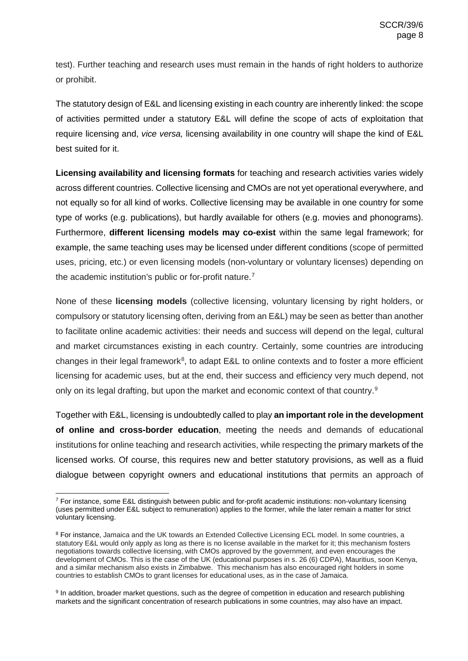test). Further teaching and research uses must remain in the hands of right holders to authorize or prohibit.

The statutory design of E&L and licensing existing in each country are inherently linked: the scope of activities permitted under a statutory E&L will define the scope of acts of exploitation that require licensing and, *vice versa,* licensing availability in one country will shape the kind of E&L best suited for it.

**Licensing availability and licensing formats** for teaching and research activities varies widely across different countries. Collective licensing and CMOs are not yet operational everywhere, and not equally so for all kind of works. Collective licensing may be available in one country for some type of works (e.g. publications), but hardly available for others (e.g. movies and phonograms). Furthermore, **different licensing models may co-exist** within the same legal framework; for example, the same teaching uses may be licensed under different conditions (scope of permitted uses, pricing, etc.) or even licensing models (non-voluntary or voluntary licenses) depending on the academic institution's public or for-profit nature. [7](#page-7-0)

None of these **licensing models** (collective licensing, voluntary licensing by right holders, or compulsory or statutory licensing often, deriving from an E&L) may be seen as better than another to facilitate online academic activities: their needs and success will depend on the legal, cultural and market circumstances existing in each country. Certainly, some countries are introducing changes in their legal framework<sup>[8](#page-7-1)</sup>, to adapt E&L to online contexts and to foster a more efficient licensing for academic uses, but at the end, their success and efficiency very much depend, not only on its legal drafting, but upon the market and economic context of that country.[9](#page-7-2)

Together with E&L, licensing is undoubtedly called to play **an important role in the development of online and cross-border education**, meeting the needs and demands of educational institutions for online teaching and research activities, while respecting the primary markets of the licensed works. Of course, this requires new and better statutory provisions, as well as a fluid dialogue between copyright owners and educational institutions that permits an approach of

<span id="page-7-0"></span> <sup>7</sup> For instance, some E&L distinguish between public and for-profit academic institutions: non-voluntary licensing (uses permitted under E&L subject to remuneration) applies to the former, while the later remain a matter for strict voluntary licensing.

<span id="page-7-1"></span><sup>&</sup>lt;sup>8</sup> For instance, Jamaica and the UK towards an Extended Collective Licensing ECL model. In some countries, a statutory E&L would only apply as long as there is no license available in the market for it; this mechanism fosters negotiations towards collective licensing, with CMOs approved by the government, and even encourages the development of CMOs. This is the case of the UK (educational purposes in s. 26 (6) CDPA), Mauritius, soon Kenya, and a similar mechanism also exists in Zimbabwe. This mechanism has also encouraged right holders in some countries to establish CMOs to grant licenses for educational uses, as in the case of Jamaica.

<span id="page-7-2"></span><sup>9</sup> In addition, broader market questions, such as the degree of competition in education and research publishing markets and the significant concentration of research publications in some countries, may also have an impact.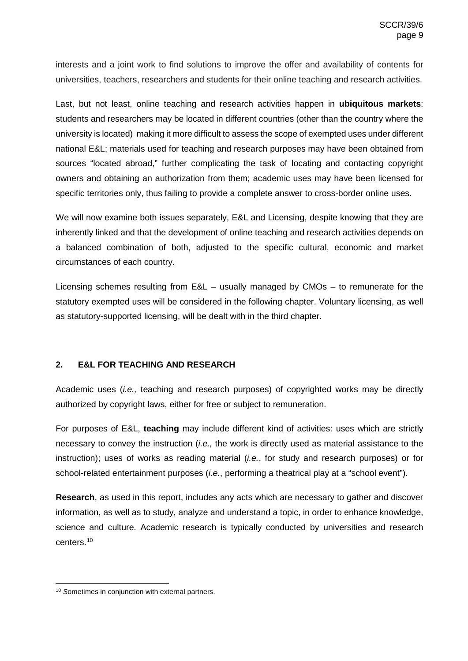interests and a joint work to find solutions to improve the offer and availability of contents for universities, teachers, researchers and students for their online teaching and research activities.

Last, but not least, online teaching and research activities happen in **ubiquitous markets**: students and researchers may be located in different countries (other than the country where the university is located) making it more difficult to assess the scope of exempted uses under different national E&L; materials used for teaching and research purposes may have been obtained from sources "located abroad," further complicating the task of locating and contacting copyright owners and obtaining an authorization from them; academic uses may have been licensed for specific territories only, thus failing to provide a complete answer to cross-border online uses.

We will now examine both issues separately, E&L and Licensing, despite knowing that they are inherently linked and that the development of online teaching and research activities depends on a balanced combination of both, adjusted to the specific cultural, economic and market circumstances of each country.

Licensing schemes resulting from E&L – usually managed by CMOs – to remunerate for the statutory exempted uses will be considered in the following chapter. Voluntary licensing, as well as statutory-supported licensing, will be dealt with in the third chapter.

# <span id="page-8-0"></span>**2. E&L FOR TEACHING AND RESEARCH**

Academic uses (*i.e.,* teaching and research purposes) of copyrighted works may be directly authorized by copyright laws, either for free or subject to remuneration.

For purposes of E&L, **teaching** may include different kind of activities: uses which are strictly necessary to convey the instruction (*i.e.,* the work is directly used as material assistance to the instruction); uses of works as reading material (*i.e.*, for study and research purposes) or for school-related entertainment purposes (*i.e.*, performing a theatrical play at a "school event").

**Research**, as used in this report, includes any acts which are necessary to gather and discover information, as well as to study, analyze and understand a topic, in order to enhance knowledge, science and culture. Academic research is typically conducted by universities and research centers.[10](#page-8-1)

<span id="page-8-1"></span><sup>&</sup>lt;sup>10</sup> Sometimes in conjunction with external partners.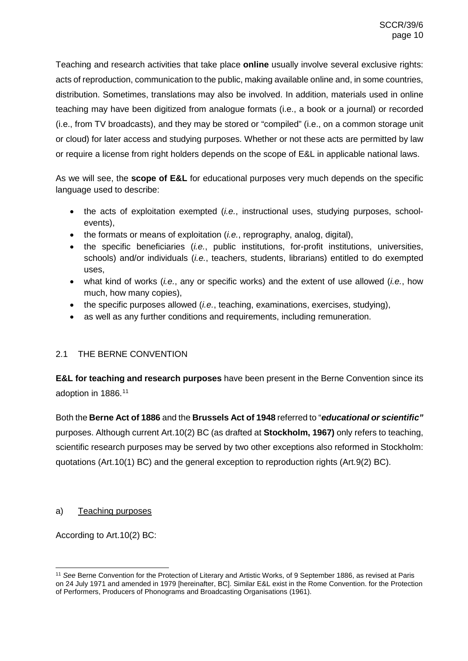Teaching and research activities that take place **online** usually involve several exclusive rights: acts of reproduction, communication to the public, making available online and, in some countries, distribution. Sometimes, translations may also be involved. In addition, materials used in online teaching may have been digitized from analogue formats (i.e., a book or a journal) or recorded (i.e., from TV broadcasts), and they may be stored or "compiled" (i.e., on a common storage unit or cloud) for later access and studying purposes. Whether or not these acts are permitted by law or require a license from right holders depends on the scope of E&L in applicable national laws.

As we will see, the **scope of E&L** for educational purposes very much depends on the specific language used to describe:

- the acts of exploitation exempted (*i.e.*, instructional uses, studying purposes, schoolevents),
- the formats or means of exploitation (*i.e.*, reprography, analog, digital),
- the specific beneficiaries (*i.e.*, public institutions, for-profit institutions, universities, schools) and/or individuals (*i.e.*, teachers, students, librarians) entitled to do exempted uses,
- what kind of works (*i.e.*, any or specific works) and the extent of use allowed (*i.e.*, how much, how many copies),
- the specific purposes allowed (*i.e.*, teaching, examinations, exercises, studying),
- as well as any further conditions and requirements, including remuneration.

# <span id="page-9-0"></span>2.1 THE BERNE CONVENTION

**E&L for teaching and research purposes** have been present in the Berne Convention since its adoption in 1886.[11](#page-9-2)

Both the **Berne Act of 1886** and the **Brussels Act of 1948** referred to "*educational or scientific"* purposes. Although current Art.10(2) BC (as drafted at **Stockholm, 1967)** only refers to teaching, scientific research purposes may be served by two other exceptions also reformed in Stockholm: quotations (Art.10(1) BC) and the general exception to reproduction rights (Art.9(2) BC).

# <span id="page-9-1"></span>a) Teaching purposes

According to Art.10(2) BC:

<span id="page-9-2"></span> <sup>11</sup> *See* Berne Convention for the Protection of Literary and Artistic Works, of 9 September 1886, as revised at Paris on 24 July 1971 and amended in 1979 [hereinafter, BC]. Similar E&L exist in the Rome Convention. for the Protection of Performers, Producers of Phonograms and Broadcasting Organisations (1961).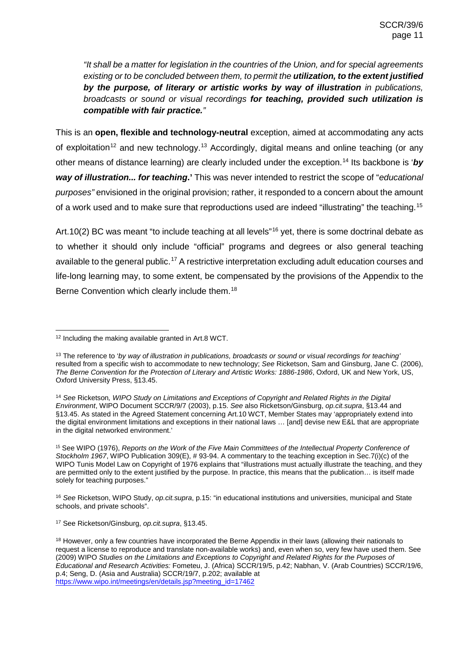*"It shall be a matter for legislation in the countries of the Union, and for special agreements existing or to be concluded between them, to permit the utilization, to the extent justified by the purpose, of literary or artistic works by way of illustration in publications, broadcasts or sound or visual recordings for teaching, provided such utilization is compatible with fair practice."*

This is an **open, flexible and technology-neutral** exception, aimed at accommodating any acts of exploitation<sup>[12](#page-10-0)</sup> and new technology.<sup>[13](#page-10-1)</sup> Accordingly, digital means and online teaching (or any other means of distance learning) are clearly included under the exception.[14](#page-10-2) Its backbone is '*by way of illustration... for teaching***.'** This was never intended to restrict the scope of "*educational purposes"* envisioned in the original provision; rather, it responded to a concern about the amount of a work used and to make sure that reproductions used are indeed "illustrating" the teaching.[15](#page-10-3)

Art.10(2) BC was meant "to include teaching at all levels"<sup>[16](#page-10-4)</sup> yet, there is some doctrinal debate as to whether it should only include "official" programs and degrees or also general teaching available to the general public.<sup>[17](#page-10-5)</sup> A restrictive interpretation excluding adult education courses and life-long learning may, to some extent, be compensated by the provisions of the Appendix to the Berne Convention which clearly include them.<sup>[18](#page-10-6)</sup>

<span id="page-10-4"></span><sup>16</sup> *See* Ricketson, WIPO Study, *op.cit.supra*, p.15: "in educational institutions and universities, municipal and State schools, and private schools".

<span id="page-10-0"></span><sup>&</sup>lt;sup>12</sup> Including the making available granted in Art.8 WCT.

<span id="page-10-1"></span><sup>13</sup> The reference to '*by way of illustration in publications, broadcasts or sound or visual recordings for teaching'* resulted from a specific wish to accommodate to new technology; *See* Ricketson, Sam and Ginsburg, Jane C. (2006), *The Berne Convention for the Protection of Literary and Artistic Works: 1886-1986*, Oxford, UK and New York, US, Oxford University Press, §13.45.

<span id="page-10-2"></span><sup>14</sup> *See* Ricketson*, WIPO Study on Limitations and Exceptions of Copyright and Related Rights in the Digital Environment*, WIPO Document SCCR/9/7 (2003), p.15. *See* also Ricketson/Ginsburg, *op.cit.supra*, §13.44 and §13.45. As stated in the Agreed Statement concerning Art.10 WCT, Member States may 'appropriately extend into the digital environment limitations and exceptions in their national laws … [and] devise new E&L that are appropriate in the digital networked environment.'

<span id="page-10-3"></span><sup>15</sup> See WIPO (1976), *Reports on the Work of the Five Main Committees of the Intellectual Property Conference of Stockholm 1967*, WIPO Publication 309(E), # 93-94. A commentary to the teaching exception in Sec.7(i)(c) of the WIPO Tunis Model Law on Copyright of 1976 explains that "illustrations must actually illustrate the teaching, and they are permitted only to the extent justified by the purpose. In practice, this means that the publication… is itself made solely for teaching purposes."

<span id="page-10-5"></span><sup>17</sup> See Ricketson/Ginsburg, *op.cit.supra*, §13.45.

<span id="page-10-6"></span><sup>&</sup>lt;sup>18</sup> However, only a few countries have incorporated the Berne Appendix in their laws (allowing their nationals to request a license to reproduce and translate non-available works) and, even when so, very few have used them. See (2009) WIPO *Studies on the Limitations and Exceptions to Copyright and Related Rights for the Purposes of Educational and Research Activities:* Fometeu, J. (Africa) SCCR/19/5, p.42; Nabhan, V. (Arab Countries) SCCR/19/6, p.4; Seng, D. (Asia and Australia) SCCR/19/7, p.202; available at [https://www.wipo.int/meetings/en/details.jsp?meeting\\_id=17462](https://www.wipo.int/meetings/en/details.jsp?meeting_id=17462)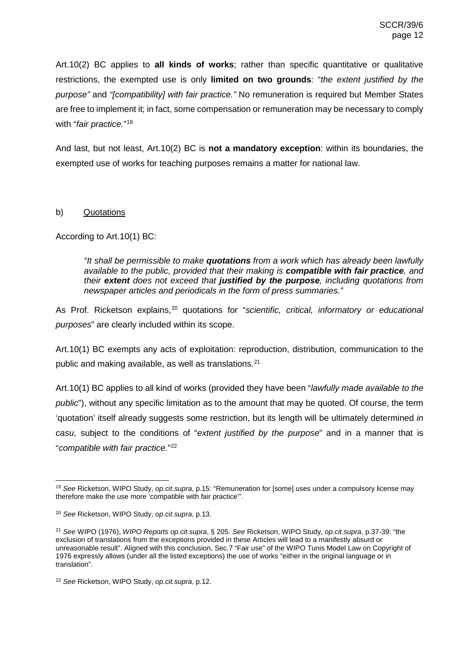Art.10(2) BC applies to **all kinds of works**; rather than specific quantitative or qualitative restrictions, the exempted use is only **limited on two grounds**: "*the extent justified by the purpose"* and *"[compatibility] with fair practice."* No remuneration is required but Member States are free to implement it; in fact, some compensation or remuneration may be necessary to comply with "*fair practice.*"[19](#page-11-1)

And last, but not least, Art.10(2) BC is **not a mandatory exception**: within its boundaries, the exempted use of works for teaching purposes remains a matter for national law.

### <span id="page-11-0"></span>b) Quotations

According to Art.10(1) BC:

*"It shall be permissible to make quotations from a work which has already been lawfully available to the public, provided that their making is compatible with fair practice, and their extent does not exceed that justified by the purpose, including quotations from newspaper articles and periodicals in the form of press summaries."*

As Prof. Ricketson explains,<sup>[20](#page-11-2)</sup> quotations for "*scientific, critical, informatory or educational purposes*" are clearly included within its scope.

Art.10(1) BC exempts any acts of exploitation: reproduction, distribution, communication to the public and making available, as well as translations.<sup>[21](#page-11-3)</sup>

Art.10(1) BC applies to all kind of works (provided they have been "*lawfully made available to the public*"), without any specific limitation as to the amount that may be quoted. Of course, the term 'quotation' itself already suggests some restriction, but its length will be ultimately determined *in casu,* subject to the conditions of "*extent justified by the purpose*" and in a manner that is "*compatible with fair practice.*"[22](#page-11-4)

<span id="page-11-1"></span> <sup>19</sup> *See* Ricketson, WIPO Study, *op.cit.supra*, p.15: "Remuneration for [some] uses under a compulsory license may therefore make the use more 'compatible with fair practice'".

<span id="page-11-2"></span><sup>20</sup> *See* Ricketson, WIPO Study, *op.cit.supra*, p.13.

<span id="page-11-3"></span><sup>21</sup> *See* WIPO (1976), *WIPO Reports op.cit.supra*, § 205. *See* Ricketson, WIPO Study, *op.cit.supra*, p.37-39: "the exclusion of translations from the exceptions provided in these Articles will lead to a manifestly absurd or unreasonable result". Aligned with this conclusion, Sec.7 "Fair use" of the WIPO Tunis Model Law on Copyright of 1976 expressly allows (under all the listed exceptions) the use of works "either in the original language or in translation".

<span id="page-11-4"></span><sup>22</sup> *See* Ricketson, WIPO Study, *op.cit.supra*, p.12.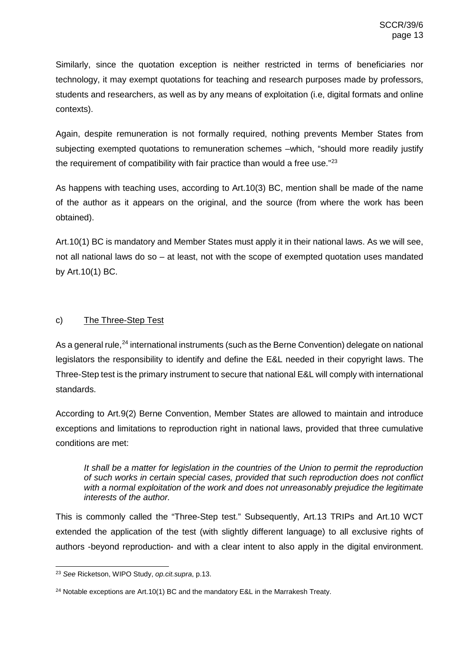Similarly, since the quotation exception is neither restricted in terms of beneficiaries nor technology, it may exempt quotations for teaching and research purposes made by professors, students and researchers, as well as by any means of exploitation (i.e, digital formats and online contexts).

Again, despite remuneration is not formally required, nothing prevents Member States from subjecting exempted quotations to remuneration schemes –which, "should more readily justify the requirement of compatibility with fair practice than would a free use."<sup>[23](#page-12-1)</sup>

As happens with teaching uses, according to Art.10(3) BC, mention shall be made of the name of the author as it appears on the original, and the source (from where the work has been obtained).

Art.10(1) BC is mandatory and Member States must apply it in their national laws. As we will see, not all national laws do so – at least, not with the scope of exempted quotation uses mandated by Art.10(1) BC.

# <span id="page-12-0"></span>c) The Three-Step Test

As a general rule,<sup>[24](#page-12-2)</sup> international instruments (such as the Berne Convention) delegate on national legislators the responsibility to identify and define the E&L needed in their copyright laws. The Three-Step test is the primary instrument to secure that national E&L will comply with international standards.

According to Art.9(2) Berne Convention, Member States are allowed to maintain and introduce exceptions and limitations to reproduction right in national laws, provided that three cumulative conditions are met:

*It shall be a matter for legislation in the countries of the Union to permit the reproduction of such works in certain special cases, provided that such reproduction does not conflict with a normal exploitation of the work and does not unreasonably prejudice the legitimate interests of the author.* 

This is commonly called the "Three-Step test." Subsequently, Art.13 TRIPs and Art.10 WCT extended the application of the test (with slightly different language) to all exclusive rights of authors -beyond reproduction- and with a clear intent to also apply in the digital environment.

<span id="page-12-1"></span> <sup>23</sup> *See* Ricketson, WIPO Study, *op.cit.supra*, p.13.

<span id="page-12-2"></span><sup>&</sup>lt;sup>24</sup> Notable exceptions are Art.10(1) BC and the mandatory E&L in the Marrakesh Treaty.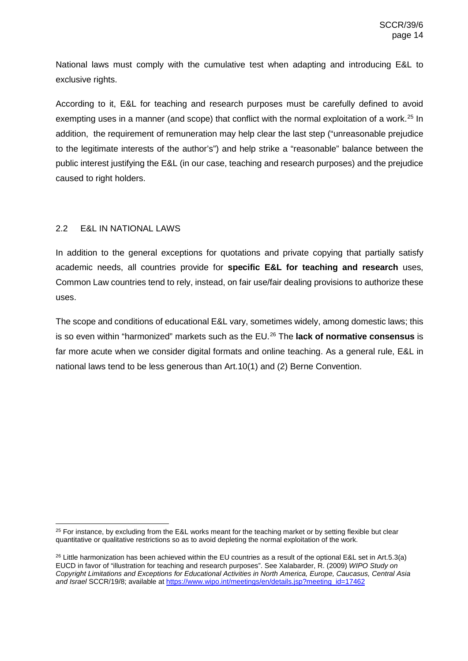National laws must comply with the cumulative test when adapting and introducing E&L to exclusive rights.

According to it, E&L for teaching and research purposes must be carefully defined to avoid exempting uses in a manner (and scope) that conflict with the normal exploitation of a work.<sup>[25](#page-13-1)</sup> In addition, the requirement of remuneration may help clear the last step ("unreasonable prejudice to the legitimate interests of the author's") and help strike a "reasonable" balance between the public interest justifying the E&L (in our case, teaching and research purposes) and the prejudice caused to right holders.

# <span id="page-13-0"></span>2.2 E&L IN NATIONAL LAWS

In addition to the general exceptions for quotations and private copying that partially satisfy academic needs, all countries provide for **specific E&L for teaching and research** uses, Common Law countries tend to rely, instead, on fair use/fair dealing provisions to authorize these uses.

The scope and conditions of educational E&L vary, sometimes widely, among domestic laws; this is so even within "harmonized" markets such as the EU.[26](#page-13-2) The **lack of normative consensus** is far more acute when we consider digital formats and online teaching. As a general rule, E&L in national laws tend to be less generous than Art.10(1) and (2) Berne Convention.

<span id="page-13-1"></span><sup>&</sup>lt;sup>25</sup> For instance, by excluding from the E&L works meant for the teaching market or by setting flexible but clear quantitative or qualitative restrictions so as to avoid depleting the normal exploitation of the work.

<span id="page-13-2"></span> $^{26}$  Little harmonization has been achieved within the EU countries as a result of the optional E&L set in Art.5.3(a) EUCD in favor of "illustration for teaching and research purposes". See Xalabarder, R. (2009) *WIPO Study on Copyright Limitations and Exceptions for Educational Activities in North America, Europe, Caucasus, Central Asia*  and Israel SCCR/19/8; available at https://www.wipo.int/meetings/en/details.jsp?meeting\_id=17462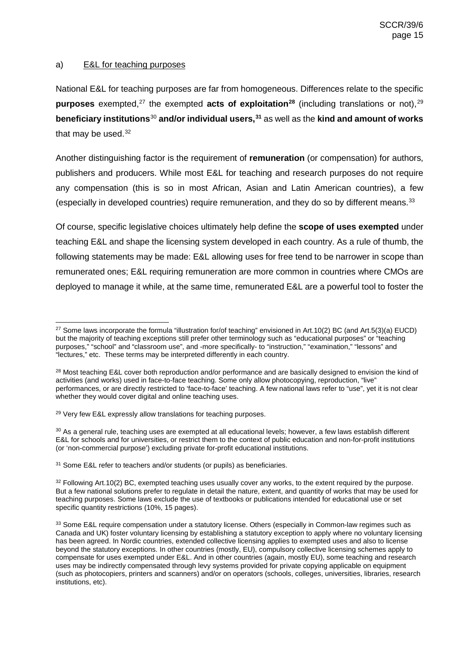### <span id="page-14-0"></span>a) E&L for teaching purposes

National E&L for teaching purposes are far from homogeneous. Differences relate to the specific **purposes** exempted,<sup>[27](#page-14-1)</sup> the exempted **acts of exploitation**<sup>[28](#page-14-2)</sup> (including translations or not),<sup>[29](#page-14-3)</sup> **beneficiary institutions**[30](#page-14-4) **and/or individual users,[31](#page-14-5)** as well as the **kind and amount of works** that may be used. $32$ 

Another distinguishing factor is the requirement of **remuneration** (or compensation) for authors, publishers and producers. While most E&L for teaching and research purposes do not require any compensation (this is so in most African, Asian and Latin American countries), a few (especially in developed countries) require remuneration, and they do so by different means.<sup>[33](#page-14-7)</sup>

Of course, specific legislative choices ultimately help define the **scope of uses exempted** under teaching E&L and shape the licensing system developed in each country. As a rule of thumb, the following statements may be made: E&L allowing uses for free tend to be narrower in scope than remunerated ones; E&L requiring remuneration are more common in countries where CMOs are deployed to manage it while, at the same time, remunerated E&L are a powerful tool to foster the

<span id="page-14-4"></span><sup>30</sup> As a general rule, teaching uses are exempted at all educational levels; however, a few laws establish different E&L for schools and for universities, or restrict them to the context of public education and non-for-profit institutions (or 'non-commercial purpose') excluding private for-profit educational institutions.

<span id="page-14-5"></span><sup>31</sup> Some E&L refer to teachers and/or students (or pupils) as beneficiaries.

<span id="page-14-1"></span><sup>&</sup>lt;sup>27</sup> Some laws incorporate the formula "illustration for/of teaching" envisioned in Art.10(2) BC (and Art.5(3)(a) EUCD) but the majority of teaching exceptions still prefer other terminology such as "educational purposes" or "teaching purposes," "school" and "classroom use", and -more specifically- to "instruction," "examination," "lessons" and "lectures," etc. These terms may be interpreted differently in each country.

<span id="page-14-2"></span><sup>&</sup>lt;sup>28</sup> Most teaching E&L cover both reproduction and/or performance and are basically designed to envision the kind of activities (and works) used in face-to-face teaching. Some only allow photocopying, reproduction, "live" performances, or are directly restricted to 'face-to-face' teaching. A few national laws refer to "use", yet it is not clear whether they would cover digital and online teaching uses.

<span id="page-14-3"></span><sup>&</sup>lt;sup>29</sup> Very few E&L expressly allow translations for teaching purposes.

<span id="page-14-6"></span> $32$  Following Art.10(2) BC, exempted teaching uses usually cover any works, to the extent required by the purpose. But a few national solutions prefer to regulate in detail the nature, extent, and quantity of works that may be used for teaching purposes. Some laws exclude the use of textbooks or publications intended for educational use or set specific quantity restrictions (10%, 15 pages).

<span id="page-14-7"></span><sup>33</sup> Some E&L require compensation under a statutory license. Others (especially in Common-law regimes such as Canada and UK) foster voluntary licensing by establishing a statutory exception to apply where no voluntary licensing has been agreed. In Nordic countries, extended collective licensing applies to exempted uses and also to license beyond the statutory exceptions. In other countries (mostly, EU), compulsory collective licensing schemes apply to compensate for uses exempted under E&L. And in other countries (again, mostly EU), some teaching and research uses may be indirectly compensated through levy systems provided for private copying applicable on equipment (such as photocopiers, printers and scanners) and/or on operators (schools, colleges, universities, libraries, research institutions, etc).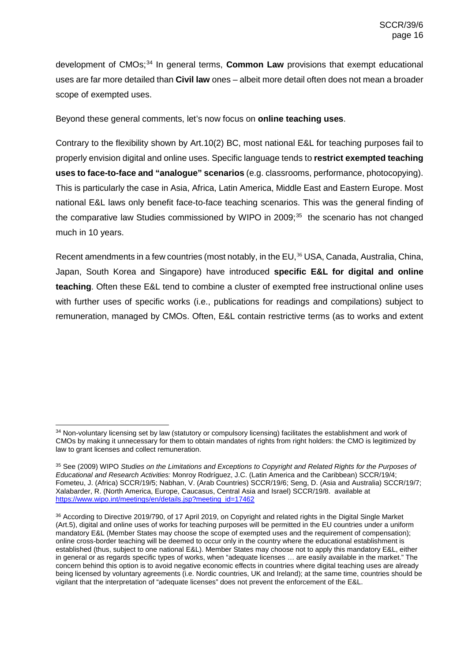development of CMOs;<sup>[34](#page-15-0)</sup> In general terms, **Common Law** provisions that exempt educational uses are far more detailed than **Civil law** ones – albeit more detail often does not mean a broader scope of exempted uses.

Beyond these general comments, let's now focus on **online teaching uses**.

Contrary to the flexibility shown by Art.10(2) BC, most national E&L for teaching purposes fail to properly envision digital and online uses. Specific language tends to **restrict exempted teaching uses to face-to-face and "analogue" scenarios** (e.g. classrooms, performance, photocopying). This is particularly the case in Asia, Africa, Latin America, Middle East and Eastern Europe. Most national E&L laws only benefit face-to-face teaching scenarios. This was the general finding of the comparative law Studies commissioned by WIPO in  $2009$ ;<sup>[35](#page-15-1)</sup> the scenario has not changed much in 10 years.

Recent amendments in a few countries (most notably, in the EU,<sup>[36](#page-15-2)</sup> USA, Canada, Australia, China, Japan, South Korea and Singapore) have introduced **specific E&L for digital and online teaching**. Often these E&L tend to combine a cluster of exempted free instructional online uses with further uses of specific works (i.e., publications for readings and compilations) subject to remuneration, managed by CMOs. Often, E&L contain restrictive terms (as to works and extent

<span id="page-15-0"></span><sup>34</sup> Non-voluntary licensing set by law (statutory or compulsory licensing) facilitates the establishment and work of CMOs by making it unnecessary for them to obtain mandates of rights from right holders: the CMO is legitimized by law to grant licenses and collect remuneration.

<span id="page-15-1"></span><sup>35</sup> See (2009) WIPO *Studies on the Limitations and Exceptions to Copyright and Related Rights for the Purposes of Educational and Research Activities:* Monroy Rodríguez, J.C. (Latin America and the Caribbean) SCCR/19/4; Fometeu, J. (Africa) SCCR/19/5; Nabhan, V. (Arab Countries) SCCR/19/6; Seng, D. (Asia and Australia) SCCR/19/7; Xalabarder, R. (North America, Europe, Caucasus, Central Asia and Israel) SCCR/19/8. available at [https://www.wipo.int/meetings/en/details.jsp?meeting\\_id=17462](https://www.wipo.int/meetings/en/details.jsp?meeting_id=17462)

<span id="page-15-2"></span><sup>36</sup> According to Directive 2019/790, of 17 April 2019, on Copyright and related rights in the Digital Single Market (Art.5), digital and online uses of works for teaching purposes will be permitted in the EU countries under a uniform mandatory E&L (Member States may choose the scope of exempted uses and the requirement of compensation); online cross-border teaching will be deemed to occur only in the country where the educational establishment is established (thus, subject to one national E&L). Member States may choose not to apply this mandatory E&L, either in general or as regards specific types of works, when "adequate licenses … are easily available in the market." The concern behind this option is to avoid negative economic effects in countries where digital teaching uses are already being licensed by voluntary agreements (i.e. Nordic countries, UK and Ireland); at the same time, countries should be vigilant that the interpretation of "adequate licenses" does not prevent the enforcement of the E&L.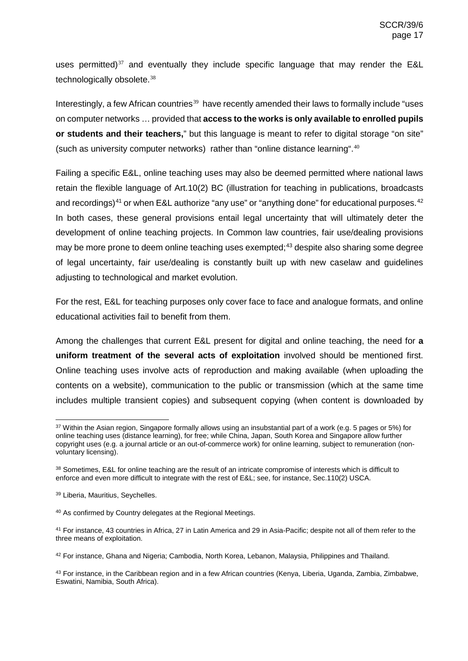uses permitted)<sup>[37](#page-16-0)</sup> and eventually they include specific language that may render the E&L technologically obsolete.<sup>[38](#page-16-1)</sup>

Interestingly, a few African countries<sup>[39](#page-16-2)</sup> have recently amended their laws to formally include "uses on computer networks … provided that **access to the works is only available to enrolled pupils or students and their teachers,**" but this language is meant to refer to digital storage "on site" (such as university computer networks) rather than "online distance learning".[40](#page-16-3)

Failing a specific E&L, online teaching uses may also be deemed permitted where national laws retain the flexible language of Art.10(2) BC (illustration for teaching in publications, broadcasts and recordings)<sup>[41](#page-16-4)</sup> or when E&L authorize "any use" or "anything done" for educational purposes.  $42$ In both cases, these general provisions entail legal uncertainty that will ultimately deter the development of online teaching projects. In Common law countries, fair use/dealing provisions may be more prone to deem online teaching uses exempted;<sup>[43](#page-16-6)</sup> despite also sharing some degree of legal uncertainty, fair use/dealing is constantly built up with new caselaw and guidelines adjusting to technological and market evolution.

For the rest, E&L for teaching purposes only cover face to face and analogue formats, and online educational activities fail to benefit from them.

Among the challenges that current E&L present for digital and online teaching, the need for **a uniform treatment of the several acts of exploitation** involved should be mentioned first. Online teaching uses involve acts of reproduction and making available (when uploading the contents on a website), communication to the public or transmission (which at the same time includes multiple transient copies) and subsequent copying (when content is downloaded by

<span id="page-16-0"></span><sup>&</sup>lt;sup>37</sup> Within the Asian region, Singapore formally allows using an insubstantial part of a work (e.g. 5 pages or 5%) for online teaching uses (distance learning), for free; while China, Japan, South Korea and Singapore allow further copyright uses (e.g. a journal article or an out-of-commerce work) for online learning, subject to remuneration (nonvoluntary licensing).

<span id="page-16-1"></span><sup>&</sup>lt;sup>38</sup> Sometimes, E&L for online teaching are the result of an intricate compromise of interests which is difficult to enforce and even more difficult to integrate with the rest of E&L; see, for instance, Sec.110(2) USCA.

<span id="page-16-2"></span><sup>39</sup> Liberia, Mauritius, Seychelles.

<span id="page-16-3"></span><sup>40</sup> As confirmed by Country delegates at the Regional Meetings.

<span id="page-16-4"></span><sup>41</sup> For instance, 43 countries in Africa, 27 in Latin America and 29 in Asia-Pacific; despite not all of them refer to the three means of exploitation.

<span id="page-16-5"></span><sup>42</sup> For instance, Ghana and Nigeria; Cambodia, North Korea, Lebanon, Malaysia, Philippines and Thailand.

<span id="page-16-6"></span><sup>43</sup> For instance, in the Caribbean region and in a few African countries (Kenya, Liberia, Uganda, Zambia, Zimbabwe, Eswatini, Namibia, South Africa).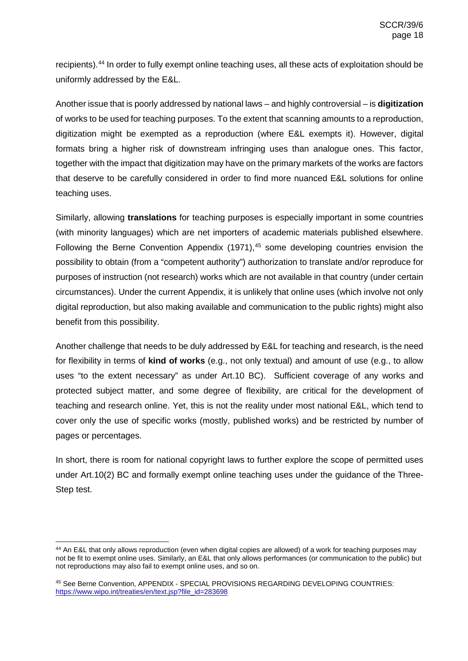recipients).[44](#page-17-0) In order to fully exempt online teaching uses, all these acts of exploitation should be uniformly addressed by the E&L.

Another issue that is poorly addressed by national laws – and highly controversial – is **digitization** of works to be used for teaching purposes. To the extent that scanning amounts to a reproduction, digitization might be exempted as a reproduction (where E&L exempts it). However, digital formats bring a higher risk of downstream infringing uses than analogue ones. This factor, together with the impact that digitization may have on the primary markets of the works are factors that deserve to be carefully considered in order to find more nuanced E&L solutions for online teaching uses.

Similarly, allowing **translations** for teaching purposes is especially important in some countries (with minority languages) which are net importers of academic materials published elsewhere. Following the Berne Convention Appendix (1971), $45$  some developing countries envision the possibility to obtain (from a "competent authority") authorization to translate and/or reproduce for purposes of instruction (not research) works which are not available in that country (under certain circumstances). Under the current Appendix, it is unlikely that online uses (which involve not only digital reproduction, but also making available and communication to the public rights) might also benefit from this possibility.

Another challenge that needs to be duly addressed by E&L for teaching and research, is the need for flexibility in terms of **kind of works** (e.g., not only textual) and amount of use (e.g., to allow uses "to the extent necessary" as under Art.10 BC). Sufficient coverage of any works and protected subject matter, and some degree of flexibility, are critical for the development of teaching and research online. Yet, this is not the reality under most national E&L, which tend to cover only the use of specific works (mostly, published works) and be restricted by number of pages or percentages.

In short, there is room for national copyright laws to further explore the scope of permitted uses under Art.10(2) BC and formally exempt online teaching uses under the guidance of the Three-Step test.

<span id="page-17-0"></span> <sup>44</sup> An E&L that only allows reproduction (even when digital copies are allowed) of a work for teaching purposes may not be fit to exempt online uses. Similarly, an E&L that only allows performances (or communication to the public) but not reproductions may also fail to exempt online uses, and so on.

<span id="page-17-1"></span><sup>45</sup> See Berne Convention, APPENDIX - SPECIAL PROVISIONS REGARDING DEVELOPING COUNTRIES: [https://www.wipo.int/treaties/en/text.jsp?file\\_id=283698](https://www.wipo.int/treaties/en/text.jsp?file_id=283698)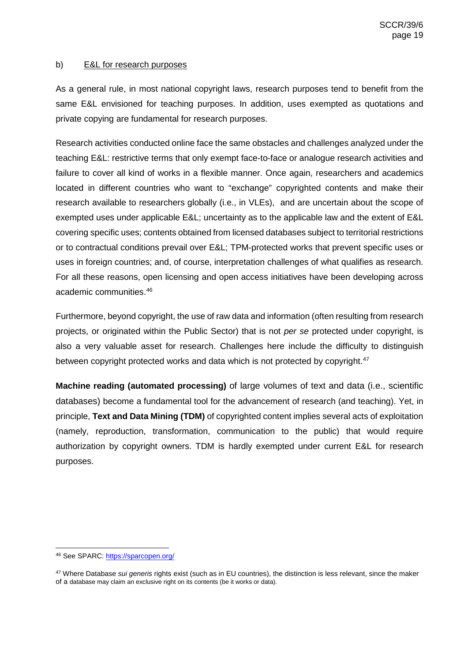### <span id="page-18-0"></span>b) E&L for research purposes

As a general rule, in most national copyright laws, research purposes tend to benefit from the same E&L envisioned for teaching purposes. In addition, uses exempted as quotations and private copying are fundamental for research purposes.

Research activities conducted online face the same obstacles and challenges analyzed under the teaching E&L: restrictive terms that only exempt face-to-face or analogue research activities and failure to cover all kind of works in a flexible manner. Once again, researchers and academics located in different countries who want to "exchange" copyrighted contents and make their research available to researchers globally (i.e., in VLEs), and are uncertain about the scope of exempted uses under applicable E&L; uncertainty as to the applicable law and the extent of E&L covering specific uses; contents obtained from licensed databases subject to territorial restrictions or to contractual conditions prevail over E&L; TPM-protected works that prevent specific uses or uses in foreign countries; and, of course, interpretation challenges of what qualifies as research. For all these reasons, open licensing and open access initiatives have been developing across academic communities.[46](#page-18-1)

Furthermore, beyond copyright, the use of raw data and information (often resulting from research projects, or originated within the Public Sector) that is not *per se* protected under copyright, is also a very valuable asset for research. Challenges here include the difficulty to distinguish between copyright protected works and data which is not protected by copyright.<sup>[47](#page-18-2)</sup>

**Machine reading (automated processing)** of large volumes of text and data (i.e., scientific databases) become a fundamental tool for the advancement of research (and teaching). Yet, in principle, **Text and Data Mining (TDM)** of copyrighted content implies several acts of exploitation (namely, reproduction, transformation, communication to the public) that would require authorization by copyright owners. TDM is hardly exempted under current E&L for research purposes.

<span id="page-18-1"></span> <sup>46</sup> See SPARC[: https://sparcopen.org/](https://sparcopen.org/)

<span id="page-18-2"></span><sup>47</sup> Where Database *sui generis* rights exist (such as in EU countries), the distinction is less relevant, since the maker of a database may claim an exclusive right on its contents (be it works or data).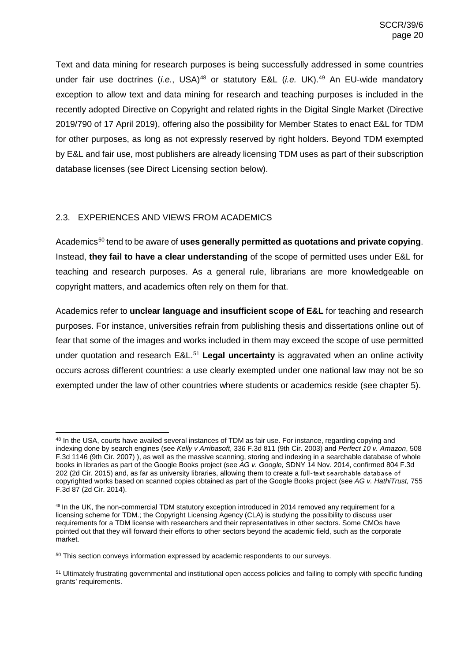Text and data mining for research purposes is being successfully addressed in some countries under fair use doctrines (*i.e.*, USA)<sup>[48](#page-19-1)</sup> or statutory E&L (*i.e.* UK).<sup>[49](#page-19-2)</sup> An EU-wide mandatory exception to allow text and data mining for research and teaching purposes is included in the recently adopted Directive on Copyright and related rights in the Digital Single Market (Directive 2019/790 of 17 April 2019), offering also the possibility for Member States to enact E&L for TDM for other purposes, as long as not expressly reserved by right holders. Beyond TDM exempted by E&L and fair use, most publishers are already licensing TDM uses as part of their subscription database licenses (see Direct Licensing section below).

# <span id="page-19-0"></span>2.3. EXPERIENCES AND VIEWS FROM ACADEMICS

Academics<sup>[50](#page-19-3)</sup> tend to be aware of **uses generally permitted as quotations and private copying.** Instead, **they fail to have a clear understanding** of the scope of permitted uses under E&L for teaching and research purposes. As a general rule, librarians are more knowledgeable on copyright matters, and academics often rely on them for that.

Academics refer to **unclear language and insufficient scope of E&L** for teaching and research purposes. For instance, universities refrain from publishing thesis and dissertations online out of fear that some of the images and works included in them may exceed the scope of use permitted under quotation and research E&L. [51](#page-19-4) **Legal uncertainty** is aggravated when an online activity occurs across different countries: a use clearly exempted under one national law may not be so exempted under the law of other countries where students or academics reside (see chapter 5).

<span id="page-19-1"></span> <sup>48</sup> In the USA, courts have availed several instances of TDM as fair use. For instance, regarding copying and indexing done by search engines (see *Kelly v Arribasoft*, 336 F.3d 811 (9th Cir. 2003) and *Perfect 10 v. Amazon*, 508 F.3d 1146 (9th Cir. 2007) ), as well as the massive scanning, storing and indexing in a searchable database of whole books in libraries as part of the Google Books project (see *AG v. Google,* SDNY 14 Nov. 2014, confirmed 804 F.3d 202 (2d Cir. 2015) and, as far as university libraries, allowing them to create a full‐text searchable database of copyrighted works based on scanned copies obtained as part of the Google Books project (see *AG v. HathiTrust,* 755 F.3d 87 (2d Cir. 2014).

<span id="page-19-2"></span><sup>49</sup> In the UK, the non-commercial TDM statutory exception introduced in 2014 removed any requirement for a licensing scheme for TDM.; the Copyright Licensing Agency (CLA) is studying the possibility to discuss user requirements for a TDM license with researchers and their representatives in other sectors. Some CMOs have pointed out that they will forward their efforts to other sectors beyond the academic field, such as the corporate market.

<span id="page-19-3"></span><sup>&</sup>lt;sup>50</sup> This section conveys information expressed by academic respondents to our surveys.

<span id="page-19-4"></span><sup>&</sup>lt;sup>51</sup> Ultimately frustrating governmental and institutional open access policies and failing to comply with specific funding grants' requirements.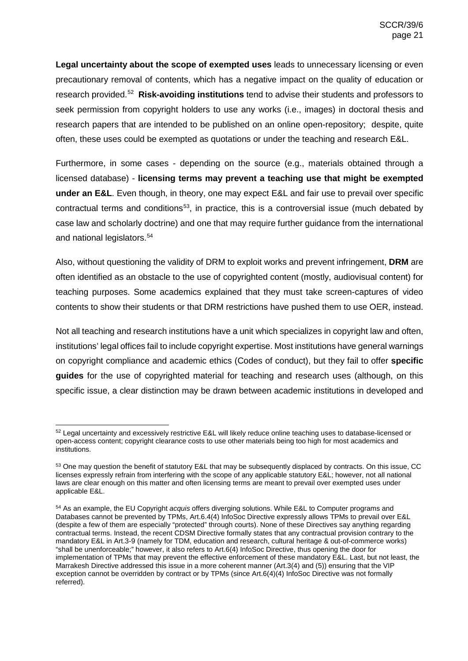**Legal uncertainty about the scope of exempted uses** leads to unnecessary licensing or even precautionary removal of contents, which has a negative impact on the quality of education or research provided.[52](#page-20-0) **Risk-avoiding institutions** tend to advise their students and professors to seek permission from copyright holders to use any works (i.e., images) in doctoral thesis and research papers that are intended to be published on an online open-repository; despite, quite often, these uses could be exempted as quotations or under the teaching and research E&L.

Furthermore, in some cases - depending on the source (e.g., materials obtained through a licensed database) - **licensing terms may prevent a teaching use that might be exempted under an E&L**. Even though, in theory, one may expect E&L and fair use to prevail over specific contractual terms and conditions<sup>[53](#page-20-1)</sup>, in practice, this is a controversial issue (much debated by case law and scholarly doctrine) and one that may require further guidance from the international and national legislators.<sup>54</sup>

Also, without questioning the validity of DRM to exploit works and prevent infringement, **DRM** are often identified as an obstacle to the use of copyrighted content (mostly, audiovisual content) for teaching purposes. Some academics explained that they must take screen-captures of video contents to show their students or that DRM restrictions have pushed them to use OER, instead.

Not all teaching and research institutions have a unit which specializes in copyright law and often, institutions' legal offices fail to include copyright expertise. Most institutions have general warnings on copyright compliance and academic ethics (Codes of conduct), but they fail to offer **specific guides** for the use of copyrighted material for teaching and research uses (although, on this specific issue, a clear distinction may be drawn between academic institutions in developed and

<span id="page-20-0"></span><sup>52</sup> Legal uncertainty and excessively restrictive E&L will likely reduce online teaching uses to database-licensed or open-access content; copyright clearance costs to use other materials being too high for most academics and institutions.

<span id="page-20-1"></span><sup>53</sup> One may question the benefit of statutory E&L that may be subsequently displaced by contracts. On this issue, CC licenses expressly refrain from interfering with the scope of any applicable statutory E&L; however, not all national laws are clear enough on this matter and often licensing terms are meant to prevail over exempted uses under applicable E&L.

<span id="page-20-2"></span><sup>54</sup> As an example, the EU Copyright *acquis* offers diverging solutions. While E&L to Computer programs and Databases cannot be prevented by TPMs, Art.6.4(4) InfoSoc Directive expressly allows TPMs to prevail over E&L (despite a few of them are especially "protected" through courts). None of these Directives say anything regarding contractual terms. Instead, the recent CDSM Directive formally states that any contractual provision contrary to the mandatory E&L in Art.3-9 (namely for TDM, education and research, cultural heritage & out-of-commerce works) "shall be unenforceable;" however, it also refers to Art.6(4) InfoSoc Directive, thus opening the door for implementation of TPMs that may prevent the effective enforcement of these mandatory E&L. Last, but not least, the Marrakesh Directive addressed this issue in a more coherent manner (Art.3(4) and (5)) ensuring that the VIP exception cannot be overridden by contract or by TPMs (since Art.6(4)(4) InfoSoc Directive was not formally referred).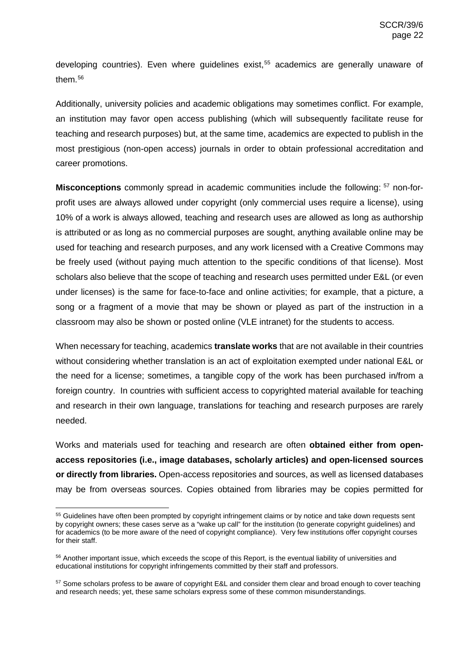developing countries). Even where guidelines exist,<sup>[55](#page-21-0)</sup> academics are generally unaware of them.<sup>[56](#page-21-1)</sup>

Additionally, university policies and academic obligations may sometimes conflict. For example, an institution may favor open access publishing (which will subsequently facilitate reuse for teaching and research purposes) but, at the same time, academics are expected to publish in the most prestigious (non-open access) journals in order to obtain professional accreditation and career promotions.

**Misconceptions** commonly spread in academic communities include the following: [57](#page-21-2) non-forprofit uses are always allowed under copyright (only commercial uses require a license), using 10% of a work is always allowed, teaching and research uses are allowed as long as authorship is attributed or as long as no commercial purposes are sought, anything available online may be used for teaching and research purposes, and any work licensed with a Creative Commons may be freely used (without paying much attention to the specific conditions of that license). Most scholars also believe that the scope of teaching and research uses permitted under E&L (or even under licenses) is the same for face-to-face and online activities; for example, that a picture, a song or a fragment of a movie that may be shown or played as part of the instruction in a classroom may also be shown or posted online (VLE intranet) for the students to access.

When necessary for teaching, academics **translate works** that are not available in their countries without considering whether translation is an act of exploitation exempted under national E&L or the need for a license; sometimes, a tangible copy of the work has been purchased in/from a foreign country. In countries with sufficient access to copyrighted material available for teaching and research in their own language, translations for teaching and research purposes are rarely needed.

Works and materials used for teaching and research are often **obtained either from openaccess repositories (i.e., image databases, scholarly articles) and open-licensed sources or directly from libraries.** Open-access repositories and sources, as well as licensed databases may be from overseas sources. Copies obtained from libraries may be copies permitted for

<span id="page-21-0"></span><sup>&</sup>lt;sup>55</sup> Guidelines have often been prompted by copyright infringement claims or by notice and take down requests sent by copyright owners; these cases serve as a "wake up call" for the institution (to generate copyright guidelines) and for academics (to be more aware of the need of copyright compliance). Very few institutions offer copyright courses for their staff.

<span id="page-21-1"></span><sup>56</sup> Another important issue, which exceeds the scope of this Report, is the eventual liability of universities and educational institutions for copyright infringements committed by their staff and professors.

<span id="page-21-2"></span><sup>&</sup>lt;sup>57</sup> Some scholars profess to be aware of copyright E&L and consider them clear and broad enough to cover teaching and research needs; yet, these same scholars express some of these common misunderstandings.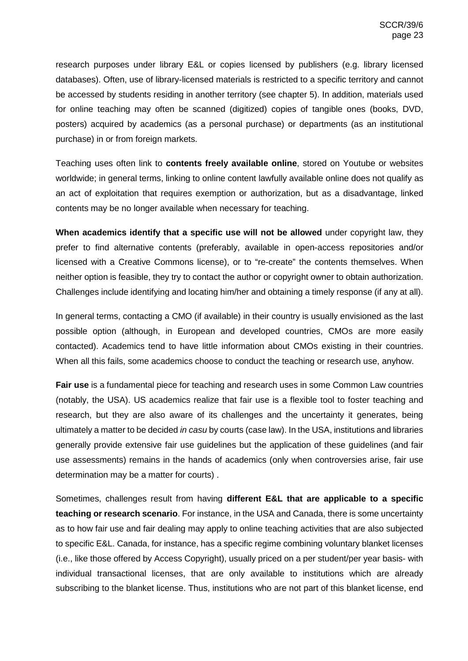research purposes under library E&L or copies licensed by publishers (e.g. library licensed databases). Often, use of library-licensed materials is restricted to a specific territory and cannot be accessed by students residing in another territory (see chapter 5). In addition, materials used for online teaching may often be scanned (digitized) copies of tangible ones (books, DVD, posters) acquired by academics (as a personal purchase) or departments (as an institutional purchase) in or from foreign markets.

Teaching uses often link to **contents freely available online**, stored on Youtube or websites worldwide; in general terms, linking to online content lawfully available online does not qualify as an act of exploitation that requires exemption or authorization, but as a disadvantage, linked contents may be no longer available when necessary for teaching.

**When academics identify that a specific use will not be allowed** under copyright law, they prefer to find alternative contents (preferably, available in open-access repositories and/or licensed with a Creative Commons license), or to "re-create" the contents themselves. When neither option is feasible, they try to contact the author or copyright owner to obtain authorization. Challenges include identifying and locating him/her and obtaining a timely response (if any at all).

In general terms, contacting a CMO (if available) in their country is usually envisioned as the last possible option (although, in European and developed countries, CMOs are more easily contacted). Academics tend to have little information about CMOs existing in their countries. When all this fails, some academics choose to conduct the teaching or research use, anyhow.

**Fair use** is a fundamental piece for teaching and research uses in some Common Law countries (notably, the USA). US academics realize that fair use is a flexible tool to foster teaching and research, but they are also aware of its challenges and the uncertainty it generates, being ultimately a matter to be decided *in casu* by courts (case law). In the USA, institutions and libraries generally provide extensive fair use guidelines but the application of these guidelines (and fair use assessments) remains in the hands of academics (only when controversies arise, fair use determination may be a matter for courts) .

Sometimes, challenges result from having **different E&L that are applicable to a specific teaching or research scenario**. For instance, in the USA and Canada, there is some uncertainty as to how fair use and fair dealing may apply to online teaching activities that are also subjected to specific E&L. Canada, for instance, has a specific regime combining voluntary blanket licenses (i.e., like those offered by Access Copyright), usually priced on a per student/per year basis- with individual transactional licenses, that are only available to institutions which are already subscribing to the blanket license. Thus, institutions who are not part of this blanket license, end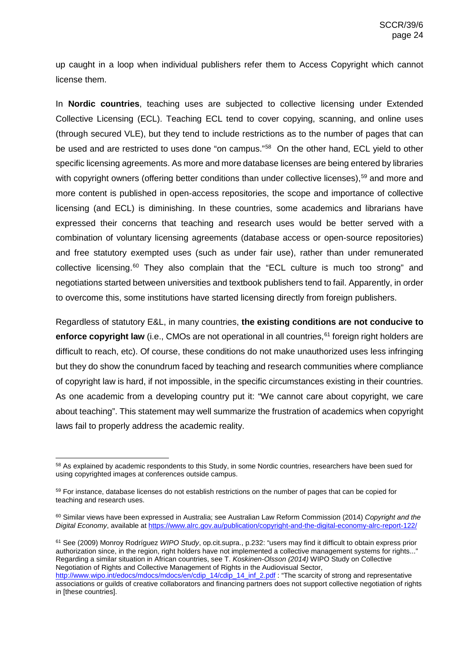up caught in a loop when individual publishers refer them to Access Copyright which cannot license them.

In **Nordic countries**, teaching uses are subjected to collective licensing under Extended Collective Licensing (ECL). Teaching ECL tend to cover copying, scanning, and online uses (through secured VLE), but they tend to include restrictions as to the number of pages that can be used and are restricted to uses done "on campus."<sup>[58](#page-23-0)</sup> On the other hand, ECL yield to other specific licensing agreements. As more and more database licenses are being entered by libraries with copyright owners (offering better conditions than under collective licenses),<sup>59</sup> and more and more content is published in open-access repositories, the scope and importance of collective licensing (and ECL) is diminishing. In these countries, some academics and librarians have expressed their concerns that teaching and research uses would be better served with a combination of voluntary licensing agreements (database access or open-source repositories) and free statutory exempted uses (such as under fair use), rather than under remunerated collective licensing.<sup>[60](#page-23-2)</sup> They also complain that the "ECL culture is much too strong" and negotiations started between universities and textbook publishers tend to fail. Apparently, in order to overcome this, some institutions have started licensing directly from foreign publishers.

Regardless of statutory E&L, in many countries, **the existing conditions are not conducive to**  enforce copyright law (i.e., CMOs are not operational in all countries,<sup>[61](#page-23-3)</sup> foreign right holders are difficult to reach, etc). Of course, these conditions do not make unauthorized uses less infringing but they do show the conundrum faced by teaching and research communities where compliance of copyright law is hard, if not impossible, in the specific circumstances existing in their countries. As one academic from a developing country put it: "We cannot care about copyright, we care about teaching". This statement may well summarize the frustration of academics when copyright laws fail to properly address the academic reality.

<span id="page-23-3"></span><sup>61</sup> See (2009) Monroy Rodríguez *WIPO Study*, op.cit.supra., p.232: "users may find it difficult to obtain express prior authorization since, in the region, right holders have not implemented a collective management systems for rights..." Regarding a similar situation in African countries, see T. *Koskinen-Olsson (2014)* WIPO Study on Collective Negotiation of Rights and Collective Management of Rights in the Audiovisual Sector,

<span id="page-23-0"></span><sup>58</sup> As explained by academic respondents to this Study, in some Nordic countries, researchers have been sued for using copyrighted images at conferences outside campus.

<span id="page-23-1"></span><sup>&</sup>lt;sup>59</sup> For instance, database licenses do not establish restrictions on the number of pages that can be copied for teaching and research uses.

<span id="page-23-2"></span><sup>60</sup> Similar views have been expressed in Australia; see Australian Law Reform Commission (2014) *Copyright and the Digital Economy*, available at <https://www.alrc.gov.au/publication/copyright-and-the-digital-economy-alrc-report-122/>

[http://www.wipo.int/edocs/mdocs/mdocs/en/cdip\\_14/cdip\\_14\\_inf\\_2.pdf](http://www.wipo.int/edocs/mdocs/mdocs/en/cdip_14/cdip_14_inf_2.pdf) : "The scarcity of strong and representative associations or guilds of creative collaborators and financing partners does not support collective negotiation of rights in [these countries].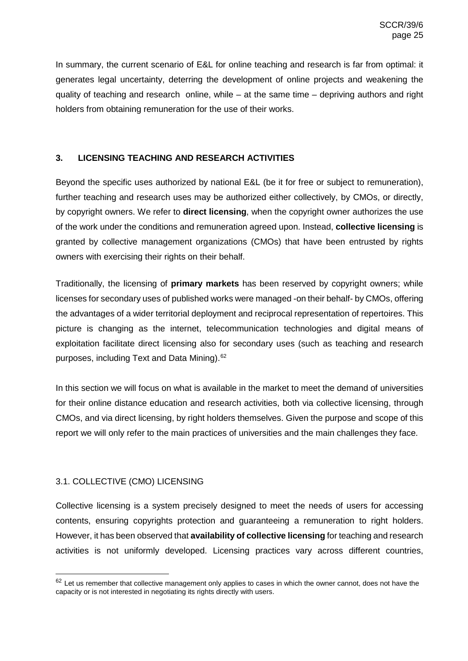In summary, the current scenario of E&L for online teaching and research is far from optimal: it generates legal uncertainty, deterring the development of online projects and weakening the quality of teaching and research online, while – at the same time – depriving authors and right holders from obtaining remuneration for the use of their works.

# <span id="page-24-0"></span>**3. LICENSING TEACHING AND RESEARCH ACTIVITIES**

Beyond the specific uses authorized by national E&L (be it for free or subject to remuneration), further teaching and research uses may be authorized either collectively, by CMOs, or directly, by copyright owners. We refer to **direct licensing**, when the copyright owner authorizes the use of the work under the conditions and remuneration agreed upon. Instead, **collective licensing** is granted by collective management organizations (CMOs) that have been entrusted by rights owners with exercising their rights on their behalf.

Traditionally, the licensing of **primary markets** has been reserved by copyright owners; while licenses for secondary uses of published works were managed -on their behalf- by CMOs, offering the advantages of a wider territorial deployment and reciprocal representation of repertoires. This picture is changing as the internet, telecommunication technologies and digital means of exploitation facilitate direct licensing also for secondary uses (such as teaching and research purposes, including Text and Data Mining).[62](#page-24-2)

In this section we will focus on what is available in the market to meet the demand of universities for their online distance education and research activities, both via collective licensing, through CMOs, and via direct licensing, by right holders themselves. Given the purpose and scope of this report we will only refer to the main practices of universities and the main challenges they face.

# <span id="page-24-1"></span>3.1. COLLECTIVE (CMO) LICENSING

Collective licensing is a system precisely designed to meet the needs of users for accessing contents, ensuring copyrights protection and guaranteeing a remuneration to right holders. However, it has been observed that **availability of collective licensing** for teaching and research activities is not uniformly developed. Licensing practices vary across different countries,

<span id="page-24-2"></span> $62$  Let us remember that collective management only applies to cases in which the owner cannot, does not have the capacity or is not interested in negotiating its rights directly with users.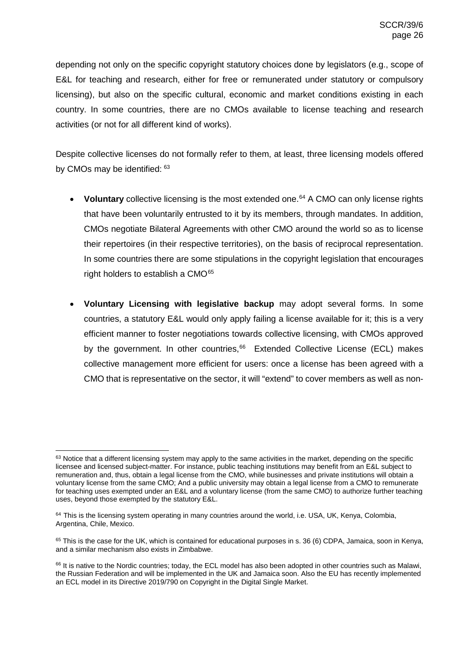depending not only on the specific copyright statutory choices done by legislators (e.g., scope of E&L for teaching and research, either for free or remunerated under statutory or compulsory licensing), but also on the specific cultural, economic and market conditions existing in each country. In some countries, there are no CMOs available to license teaching and research activities (or not for all different kind of works).

Despite collective licenses do not formally refer to them, at least, three licensing models offered by CMOs may be identified: [63](#page-25-0)

- **Voluntary** collective licensing is the most extended one.<sup>[64](#page-25-1)</sup> A CMO can only license rights that have been voluntarily entrusted to it by its members, through mandates. In addition, CMOs negotiate Bilateral Agreements with other CMO around the world so as to license their repertoires (in their respective territories), on the basis of reciprocal representation. In some countries there are some stipulations in the copyright legislation that encourages right holders to establish a CMO $65$
- **Voluntary Licensing with legislative backup** may adopt several forms. In some countries, a statutory E&L would only apply failing a license available for it; this is a very efficient manner to foster negotiations towards collective licensing, with CMOs approved by the government. In other countries, $66$  Extended Collective License (ECL) makes collective management more efficient for users: once a license has been agreed with a CMO that is representative on the sector, it will "extend" to cover members as well as non-

<span id="page-25-0"></span><sup>&</sup>lt;sup>63</sup> Notice that a different licensing system may apply to the same activities in the market, depending on the specific licensee and licensed subject-matter. For instance, public teaching institutions may benefit from an E&L subject to remuneration and, thus, obtain a legal license from the CMO, while businesses and private institutions will obtain a voluntary license from the same CMO; And a public university may obtain a legal license from a CMO to remunerate for teaching uses exempted under an E&L and a voluntary license (from the same CMO) to authorize further teaching uses, beyond those exempted by the statutory E&L.

<span id="page-25-1"></span> $64$  This is the licensing system operating in many countries around the world, i.e. USA, UK, Kenya, Colombia, Argentina, Chile, Mexico.

<span id="page-25-2"></span> $65$  This is the case for the UK, which is contained for educational purposes in s. 36 (6) CDPA, Jamaica, soon in Kenya, and a similar mechanism also exists in Zimbabwe.

<span id="page-25-3"></span> $66$  It is native to the Nordic countries; today, the ECL model has also been adopted in other countries such as Malawi, the Russian Federation and will be implemented in the UK and Jamaica soon. Also the EU has recently implemented an ECL model in its Directive 2019/790 on Copyright in the Digital Single Market.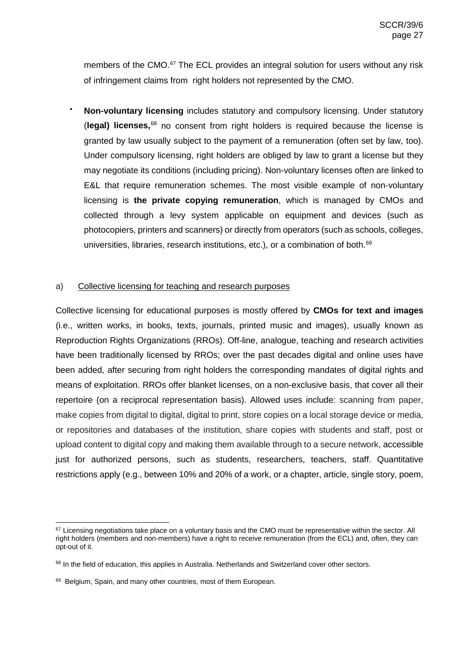members of the CMO.<sup>[67](#page-26-1)</sup> The ECL provides an integral solution for users without any risk of infringement claims from right holders not represented by the CMO.

• **Non-voluntary licensing** includes statutory and compulsory licensing. Under statutory (**legal) licenses,**[68](#page-26-2) no consent from right holders is required because the license is granted by law usually subject to the payment of a remuneration (often set by law, too). Under compulsory licensing, right holders are obliged by law to grant a license but they may negotiate its conditions (including pricing). Non-voluntary licenses often are linked to E&L that require remuneration schemes. The most visible example of non-voluntary licensing is **the private copying remuneration**, which is managed by CMOs and collected through a levy system applicable on equipment and devices (such as photocopiers, printers and scanners) or directly from operators (such as schools, colleges, universities, libraries, research institutions, etc.), or a combination of both.<sup>[69](#page-26-3)</sup>

## <span id="page-26-0"></span>a) Collective licensing for teaching and research purposes

Collective licensing for educational purposes is mostly offered by **CMOs for text and images** (i.e., written works, in books, texts, journals, printed music and images), usually known as Reproduction Rights Organizations (RROs). Off-line, analogue, teaching and research activities have been traditionally licensed by RROs; over the past decades digital and online uses have been added, after securing from right holders the corresponding mandates of digital rights and means of exploitation. RROs offer blanket licenses, on a non-exclusive basis, that cover all their repertoire (on a reciprocal representation basis). Allowed uses include: scanning from paper, make copies from digital to digital, digital to print, store copies on a local storage device or media, or repositories and databases of the institution, share copies with students and staff, post or upload content to digital copy and making them available through to a secure network, accessible just for authorized persons, such as students, researchers, teachers, staff. Quantitative restrictions apply (e.g., between 10% and 20% of a work, or a chapter, article, single story, poem,

<span id="page-26-1"></span> $67$  Licensing negotiations take place on a voluntary basis and the CMO must be representative within the sector. All right holders (members and non-members) have a right to receive remuneration (from the ECL) and, often, they can opt-out of it.

<span id="page-26-2"></span><sup>&</sup>lt;sup>68</sup> In the field of education, this applies in Australia. Netherlands and Switzerland cover other sectors.

<span id="page-26-3"></span><sup>69</sup> Belgium, Spain, and many other countries, most of them European.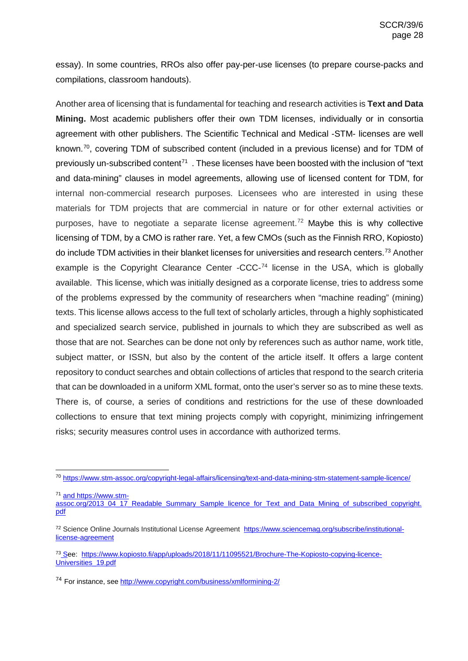essay). In some countries, RROs also offer pay-per-use licenses (to prepare course-packs and compilations, classroom handouts).

Another area of licensing that is fundamental for teaching and research activities is **Text and Data Mining.** Most academic publishers offer their own TDM licenses, individually or in consortia agreement with other publishers. The Scientific Technical and Medical -STM- licenses are well known.<sup>[70](#page-27-0)</sup>, covering TDM of subscribed content (included in a previous license) and for TDM of previously un-subscribed content<sup>71</sup>. These licenses have been boosted with the inclusion of "text" and data-mining" clauses in model agreements, allowing use of licensed content for TDM, for internal non-commercial research purposes. Licensees who are interested in using these materials for TDM projects that are commercial in nature or for other external activities or purposes, have to negotiate a separate license agreement. [72](#page-27-2) Maybe this is why collective licensing of TDM, by a CMO is rather rare. Yet, a few CMOs (such as the Finnish RRO, Kopiosto) do include TDM activities in their blanket licenses for universities and research centers.<sup>[73](#page-27-3)</sup> Another example is the Copyright Clearance Center -CCC-<sup>[74](#page-27-4)</sup> license in the USA, which is globally available. This license, which was initially designed as a corporate license, tries to address some of the problems expressed by the community of researchers when "machine reading" (mining) texts. This license allows access to the full text of scholarly articles, through a highly sophisticated and specialized search service, published in journals to which they are subscribed as well as those that are not. Searches can be done not only by references such as author name, work title, subject matter, or ISSN, but also by the content of the article itself. It offers a large content repository to conduct searches and obtain collections of articles that respond to the search criteria that can be downloaded in a uniform XML format, onto the user's server so as to mine these texts. There is, of course, a series of conditions and restrictions for the use of these downloaded collections to ensure that text mining projects comply with copyright, minimizing infringement risks; security measures control uses in accordance with authorized terms.

<sup>71</sup> an[d https://www.stm-](https://www.stm-assoc.org/2013_04_17_Readable_Summary_Sample_licence_for_Text_and_Data_Mining_of_subscribed_copyright.pdf)

<span id="page-27-0"></span> <sup>70</sup> <https://www.stm-assoc.org/copyright-legal-affairs/licensing/text-and-data-mining-stm-statement-sample-licence/>

<span id="page-27-1"></span>[assoc.org/2013\\_04\\_17\\_Readable\\_Summary\\_Sample\\_licence\\_for\\_Text\\_and\\_Data\\_Mining\\_of\\_subscribed\\_copyright.](https://www.stm-assoc.org/2013_04_17_Readable_Summary_Sample_licence_for_Text_and_Data_Mining_of_subscribed_copyright.pdf) [pdf](https://www.stm-assoc.org/2013_04_17_Readable_Summary_Sample_licence_for_Text_and_Data_Mining_of_subscribed_copyright.pdf) 

<span id="page-27-2"></span><sup>72</sup> Science Online Journals Institutional License Agreement[https://www.sciencemag.org/subscribe/institutional](https://www.sciencemag.org/subscribe/institutional-license-agreement)[license-agreement](https://www.sciencemag.org/subscribe/institutional-license-agreement)

<span id="page-27-3"></span><sup>73</sup> See: [https://www.kopiosto.fi/app/uploads/2018/11/11095521/Brochure-The-Kopiosto-copying-licence-](https://www.kopiosto.fi/app/uploads/2018/11/11095521/Brochure-The-Kopiosto-copying-licence-Universities_19.pdf)[Universities\\_19.pdf](https://www.kopiosto.fi/app/uploads/2018/11/11095521/Brochure-The-Kopiosto-copying-licence-Universities_19.pdf) 

<span id="page-27-4"></span><sup>74</sup> For instance, see<http://www.copyright.com/business/xmlformining-2/>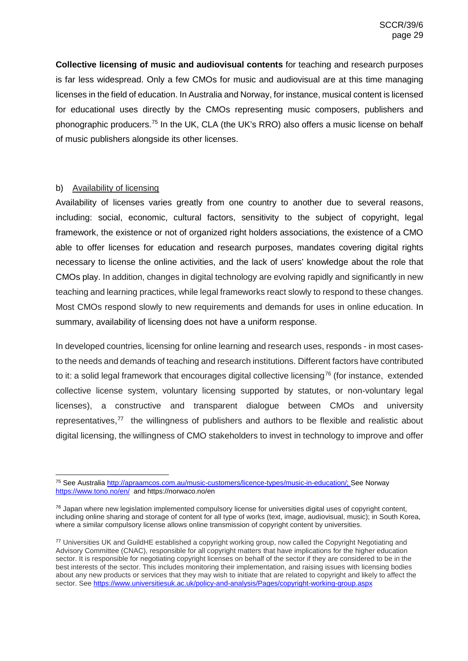**Collective licensing of music and audiovisual contents** for teaching and research purposes is far less widespread. Only a few CMOs for music and audiovisual are at this time managing licenses in the field of education. In Australia and Norway, for instance, musical content is licensed for educational uses directly by the CMOs representing music composers, publishers and phonographic producers.<sup>[75](#page-28-1)</sup> In the UK, CLA (the UK's RRO) also offers a music license on behalf of music publishers alongside its other licenses.

### <span id="page-28-0"></span>b) Availability of licensing

Availability of licenses varies greatly from one country to another due to several reasons, including: social, economic, cultural factors, sensitivity to the subject of copyright, legal framework, the existence or not of organized right holders associations, the existence of a CMO able to offer licenses for education and research purposes, mandates covering digital rights necessary to license the online activities, and the lack of users' knowledge about the role that CMOs play. In addition, changes in digital technology are evolving rapidly and significantly in new teaching and learning practices, while legal frameworks react slowly to respond to these changes. Most CMOs respond slowly to new requirements and demands for uses in online education. In summary, availability of licensing does not have a uniform response.

In developed countries, licensing for online learning and research uses, responds - in most casesto the needs and demands of teaching and research institutions. Different factors have contributed to it: a solid legal framework that encourages digital collective licensing<sup>[76](#page-28-2)</sup> (for instance, extended collective license system, voluntary licensing supported by statutes, or non-voluntary legal licenses), a constructive and transparent dialogue between CMOs and university representatives,<sup>[77](#page-28-3)</sup> the willingness of publishers and authors to be flexible and realistic about digital licensing, the willingness of CMO stakeholders to invest in technology to improve and offer

<span id="page-28-1"></span> <sup>75</sup> See Australia [http://apraamcos.com.au/music-customers/licence-types/music-in-education/;](http://apraamcos.com.au/music-customers/licence-types/music-in-education/) See Norway <https://www.tono.no/en/>an[d https://norwaco.no/en](https://norwaco.no/en) 

<span id="page-28-2"></span><sup>&</sup>lt;sup>76</sup> Japan where new legislation implemented compulsory license for universities digital uses of copyright content, including online sharing and storage of content for all type of works (text, image, audiovisual, music); in South Korea, where a similar compulsory license allows online transmission of copyright content by universities.

<span id="page-28-3"></span><sup>77</sup> Universities UK and GuildHE established a copyright working group, now called the Copyright Negotiating and Advisory Committee (CNAC), responsible for all copyright matters that have implications for the higher education sector. It is responsible for negotiating copyright licenses on behalf of the sector if they are considered to be in the best interests of the sector. This includes monitoring their implementation, and raising issues with licensing bodies about any new products or services that they may wish to initiate that are related to copyright and likely to affect the sector. See<https://www.universitiesuk.ac.uk/policy-and-analysis/Pages/copyright-working-group.aspx>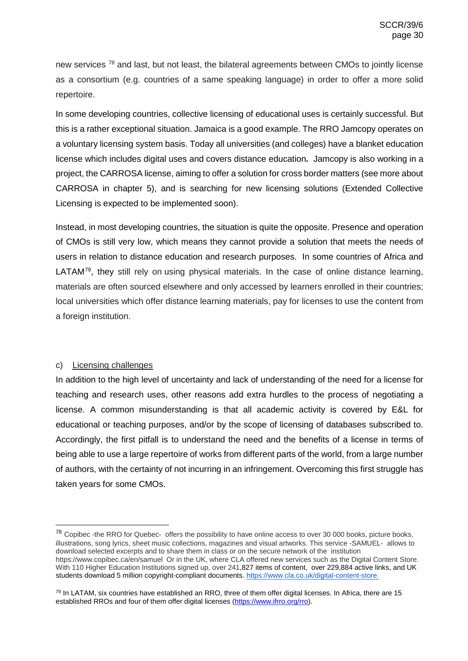new services <sup>[78](#page-29-1)</sup> and last, but not least, the bilateral agreements between CMOs to jointly license as a consortium (e.g. countries of a same speaking language) in order to offer a more solid repertoire.

In some developing countries, collective licensing of educational uses is certainly successful. But this is a rather exceptional situation. Jamaica is a good example. The RRO Jamcopy operates on a voluntary licensing system basis. Today all universities (and colleges) have a blanket education license which includes digital uses and covers distance education*.* Jamcopy is also working in a project, the CARROSA license, aiming to offer a solution for cross border matters (see more about CARROSA in chapter 5), and is searching for new licensing solutions (Extended Collective Licensing is expected to be implemented soon).

Instead, in most developing countries, the situation is quite the opposite. Presence and operation of CMOs is still very low, which means they cannot provide a solution that meets the needs of users in relation to distance education and research purposes. In some countries of Africa and LATAM<sup>79</sup>, they still rely on using physical materials. In the case of online distance learning, materials are often sourced elsewhere and only accessed by learners enrolled in their countries; local universities which offer distance learning materials, pay for licenses to use the content from a foreign institution.

### <span id="page-29-0"></span>c) Licensing challenges

In addition to the high level of uncertainty and lack of understanding of the need for a license for teaching and research uses, other reasons add extra hurdles to the process of negotiating a license. A common misunderstanding is that all academic activity is covered by E&L for educational or teaching purposes, and/or by the scope of licensing of databases subscribed to. Accordingly, the first pitfall is to understand the need and the benefits of a license in terms of being able to use a large repertoire of works from different parts of the world, from a large number of authors, with the certainty of not incurring in an infringement. Overcoming this first struggle has taken years for some CMOs.

<span id="page-29-1"></span><sup>&</sup>lt;sup>78</sup> Copibec -the RRO for Quebec- offers the possibility to have online access to over 30 000 books, picture books, illustrations, song lyrics, sheet music collections, magazines and visual artworks. This service -SAMUEL- allows to download selected excerpts and to share them in class or on the secure network of the institution <https://www.copibec.ca/en/samuel>Or in the UK, where CLA offered new services such as the Digital Content Store. With 110 Higher Education Institutions signed up, over 241,827 items of content, over 229,884 active links, an[d UK](https://cla.co.uk/news/dcs-5-million-downloads?utm_source=LinkedIn&utm_medium=Social&utm_campaign=News&utm_content=DCS%20Student%20Downloads)  [students](https://cla.co.uk/news/dcs-5-million-downloads?utm_source=LinkedIn&utm_medium=Social&utm_campaign=News&utm_content=DCS%20Student%20Downloads) download 5 million copyright-compliant documents. [https://www.cla.co.uk/digital-content-store.](https://www.cla.co.uk/digital-content-store)

<span id="page-29-2"></span> $79$  In LATAM, six countries have established an RRO, three of them offer digital licenses. In Africa, there are 15 established RROs and four of them offer digital licenses [\(https://www.ifrro.org/rro\)](https://www.ifrro.org/rro).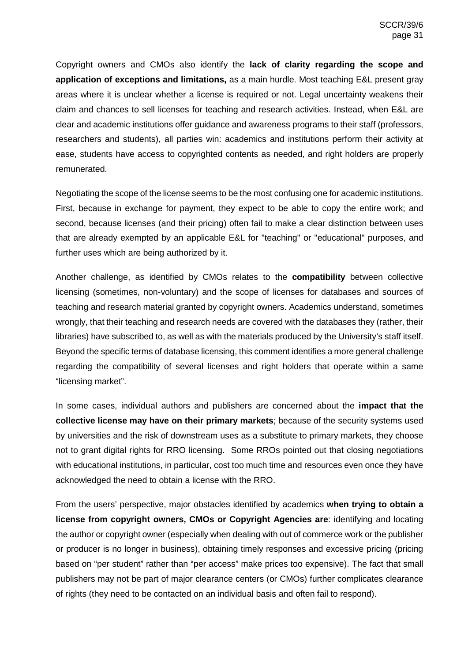Copyright owners and CMOs also identify the **lack of clarity regarding the scope and application of exceptions and limitations,** as a main hurdle. Most teaching E&L present gray areas where it is unclear whether a license is required or not. Legal uncertainty weakens their claim and chances to sell licenses for teaching and research activities. Instead, when E&L are clear and academic institutions offer guidance and awareness programs to their staff (professors, researchers and students), all parties win: academics and institutions perform their activity at ease, students have access to copyrighted contents as needed, and right holders are properly remunerated.

Negotiating the scope of the license seems to be the most confusing one for academic institutions. First, because in exchange for payment, they expect to be able to copy the entire work; and second, because licenses (and their pricing) often fail to make a clear distinction between uses that are already exempted by an applicable E&L for "teaching" or "educational" purposes, and further uses which are being authorized by it.

Another challenge, as identified by CMOs relates to the **compatibility** between collective licensing (sometimes, non-voluntary) and the scope of licenses for databases and sources of teaching and research material granted by copyright owners. Academics understand, sometimes wrongly, that their teaching and research needs are covered with the databases they (rather, their libraries) have subscribed to, as well as with the materials produced by the University's staff itself. Beyond the specific terms of database licensing, this comment identifies a more general challenge regarding the compatibility of several licenses and right holders that operate within a same "licensing market".

In some cases, individual authors and publishers are concerned about the **impact that the collective license may have on their primary markets**; because of the security systems used by universities and the risk of downstream uses as a substitute to primary markets, they choose not to grant digital rights for RRO licensing. Some RROs pointed out that closing negotiations with educational institutions, in particular, cost too much time and resources even once they have acknowledged the need to obtain a license with the RRO.

From the users' perspective, major obstacles identified by academics **when trying to obtain a license from copyright owners, CMOs or Copyright Agencies are**: identifying and locating the author or copyright owner (especially when dealing with out of commerce work or the publisher or producer is no longer in business), obtaining timely responses and excessive pricing (pricing based on "per student" rather than "per access" make prices too expensive). The fact that small publishers may not be part of major clearance centers (or CMOs) further complicates clearance of rights (they need to be contacted on an individual basis and often fail to respond).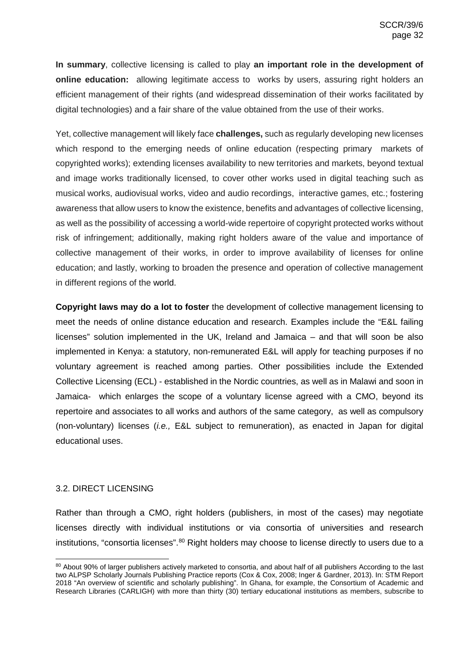**In summary**, collective licensing is called to play **an important role in the development of online education:** allowing legitimate access to works by users, assuring right holders an efficient management of their rights (and widespread dissemination of their works facilitated by digital technologies) and a fair share of the value obtained from the use of their works.

Yet, collective management will likely face **challenges,** such as regularly developing new licenses which respond to the emerging needs of online education (respecting primary markets of copyrighted works); extending licenses availability to new territories and markets, beyond textual and image works traditionally licensed, to cover other works used in digital teaching such as musical works, audiovisual works, video and audio recordings, interactive games, etc.; fostering awareness that allow users to know the existence, benefits and advantages of collective licensing, as well as the possibility of accessing a world-wide repertoire of copyright protected works without risk of infringement; additionally, making right holders aware of the value and importance of collective management of their works, in order to improve availability of licenses for online education; and lastly, working to broaden the presence and operation of collective management in different regions of the world.

**Copyright laws may do a lot to foster** the development of collective management licensing to meet the needs of online distance education and research. Examples include the "E&L failing licenses" solution implemented in the UK, Ireland and Jamaica – and that will soon be also implemented in Kenya: a statutory, non-remunerated E&L will apply for teaching purposes if no voluntary agreement is reached among parties. Other possibilities include the Extended Collective Licensing (ECL) - established in the Nordic countries, as well as in Malawi and soon in Jamaica- which enlarges the scope of a voluntary license agreed with a CMO, beyond its repertoire and associates to all works and authors of the same category, as well as compulsory (non-voluntary) licenses (*i.e.,* E&L subject to remuneration), as enacted in Japan for digital educational uses.

### <span id="page-31-0"></span>3.2. DIRECT LICENSING

Rather than through a CMO, right holders (publishers, in most of the cases) may negotiate licenses directly with individual institutions or via consortia of universities and research institutions, "consortia licenses".<sup>[80](#page-31-1)</sup> Right holders may choose to license directly to users due to a

<span id="page-31-1"></span><sup>80</sup> About 90% of larger publishers actively marketed to consortia, and about half of all publishers According to the last two ALPSP Scholarly Journals Publishing Practice reports (Cox & Cox, 2008; Inger & Gardner, 2013). In: STM Report 2018 "An overview of scientific and scholarly publishing". In Ghana, for example, the Consortium of Academic and Research Libraries (CARLIGH) with more than thirty (30) tertiary educational institutions as members, subscribe to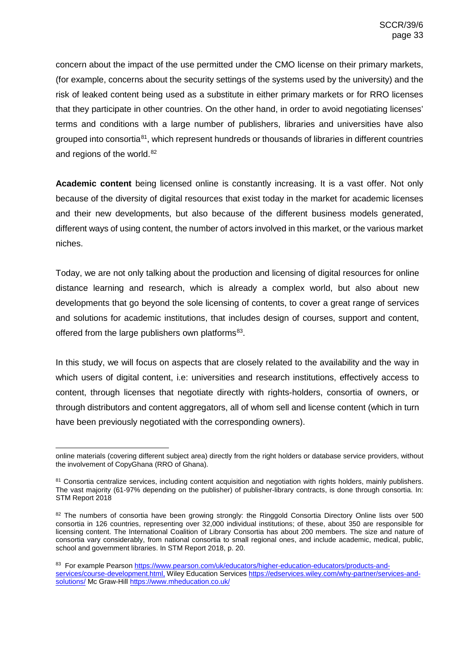concern about the impact of the use permitted under the CMO license on their primary markets, (for example, concerns about the security settings of the systems used by the university) and the risk of leaked content being used as a substitute in either primary markets or for RRO licenses that they participate in other countries. On the other hand, in order to avoid negotiating licenses' terms and conditions with a large number of publishers, libraries and universities have also grouped into consortia $81$ , which represent hundreds or thousands of libraries in different countries and regions of the world.<sup>[82](#page-32-1)</sup>

**Academic content** being licensed online is constantly increasing. It is a vast offer. Not only because of the diversity of digital resources that exist today in the market for academic licenses and their new developments, but also because of the different business models generated, different ways of using content, the number of actors involved in this market, or the various market niches.

Today, we are not only talking about the production and licensing of digital resources for online distance learning and research, which is already a complex world, but also about new developments that go beyond the sole licensing of contents, to cover a great range of services and solutions for academic institutions, that includes design of courses, support and content, offered from the large publishers own platforms<sup>[83](#page-32-2)</sup>.

In this study, we will focus on aspects that are closely related to the availability and the way in which users of digital content, i.e: universities and research institutions, effectively access to content, through licenses that negotiate directly with rights-holders, consortia of owners, or through distributors and content aggregators, all of whom sell and license content (which in turn have been previously negotiated with the corresponding owners).

online materials (covering different subject area) directly from the right holders or database service providers, without the involvement of CopyGhana (RRO of Ghana).

<span id="page-32-0"></span><sup>81</sup> Consortia centralize services, including content acquisition and negotiation with rights holders, mainly publishers. The vast majority (61-97% depending on the publisher) of publisher-library contracts, is done through consortia. In: STM Report 2018

<span id="page-32-1"></span><sup>&</sup>lt;sup>82</sup> The numbers of consortia have been growing strongly: the Ringgold Consortia Directory Online lists over 500 consortia in 126 countries, representing over 32,000 individual institutions; of these, about 350 are responsible for licensing content. The International Coalition of Library Consortia has about 200 members. The size and nature of consortia vary considerably, from national consortia to small regional ones, and include academic, medical, public, school and government libraries. In STM Report 2018, p. 20.

<span id="page-32-2"></span><sup>83</sup> For example Pearson [https://www.pearson.com/uk/educators/higher-education-educators/products-and](https://www.pearson.com/uk/educators/higher-education-educators/products-and-services/course-development.html)[services/course-development.html,](https://www.pearson.com/uk/educators/higher-education-educators/products-and-services/course-development.html) Wiley Education Services [https://edservices.wiley.com/why-partner/services-and](https://edservices.wiley.com/why-partner/services-and-solutions/)[solutions/](https://edservices.wiley.com/why-partner/services-and-solutions/) Mc Graw-Hill<https://www.mheducation.co.uk/>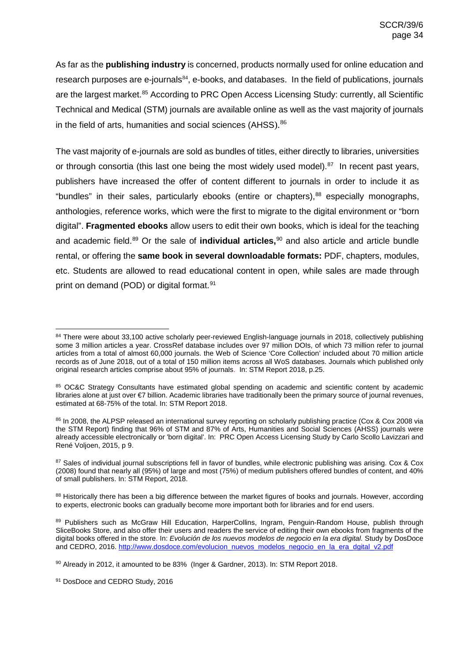As far as the **publishing industry** is concerned, products normally used for online education and research purposes are e-journals<sup>[84](#page-33-0)</sup>, e-books, and databases. In the field of publications, journals are the largest market.<sup>[85](#page-33-1)</sup> According to PRC Open Access Licensing Study: currently, all Scientific Technical and Medical (STM) journals are available online as well as the vast majority of journals in the field of arts, humanities and social sciences (AHSS).  $86$ 

The vast majority of e-journals are sold as bundles of titles, either directly to libraries, universities or through consortia (this last one being the most widely used model). $87$  In recent past years, publishers have increased the offer of content different to journals in order to include it as "bundles" in their sales, particularly ebooks (entire or chapters), <sup>[88](#page-33-4)</sup> especially monographs, anthologies, reference works, which were the first to migrate to the digital environment or "born digital". **Fragmented ebooks** allow users to edit their own books, which is ideal for the teaching and academic field. [89](#page-33-5) Or the sale of **individual articles,** [90](#page-33-6) and also article and article bundle rental, or offering the **same book in several downloadable formats:** PDF, chapters, modules, etc. Students are allowed to read educational content in open, while sales are made through print on demand (POD) or digital format.<sup>[91](#page-33-7)</sup>

<span id="page-33-4"></span>88 Historically there has been a big difference between the market figures of books and journals. However, according to experts, electronic books can gradually become more important both for libraries and for end users.

<span id="page-33-0"></span><sup>84</sup> There were about 33,100 active scholarly peer-reviewed English-language journals in 2018, collectively publishing some 3 million articles a year. CrossRef database includes over 97 million DOIs, of which 73 million refer to journal articles from a total of almost 60,000 journals. the Web of Science 'Core Collection' included about 70 million article records as of June 2018, out of a total of 150 million items across all WoS databases. Journals which published only original research articles comprise about 95% of journals. In: STM Report 2018, p.25.

<span id="page-33-1"></span><sup>85</sup> OC&C Strategy Consultants have estimated global spending on academic and scientific content by academic libraries alone at just over €7 billion. Academic libraries have traditionally been the primary source of journal revenues, estimated at 68-75% of the total. In: STM Report 2018.

<span id="page-33-2"></span><sup>86</sup> In 2008, the ALPSP released an international survey reporting on scholarly publishing practice (Cox & Cox 2008 via the STM Report) finding that 96% of STM and 87% of Arts, Humanities and Social Sciences (AHSS) journals were already accessible electronically or 'born digital'. In: PRC Open Access Licensing Study by Carlo Scollo Lavizzari and René Voljoen, 2015, p 9.

<span id="page-33-3"></span><sup>87</sup> Sales of individual journal subscriptions fell in favor of bundles, while electronic publishing was arising. Cox & Cox (2008) found that nearly all (95%) of large and most (75%) of medium publishers offered bundles of content, and 40% of small publishers. In: STM Report, 2018.

<span id="page-33-5"></span><sup>89</sup> Publishers such as McGraw Hill Education, HarperCollins, Ingram, Penguin-Random House, publish through SliceBooks Store, and also offer their users and readers the service of editing their own ebooks from fragments of the digital books offered in the store. In: *Evolución de los nuevos modelos de negocio en la era digital.* Study by DosDoce and CEDRO, 2016. [http://www.dosdoce.com/evolucion\\_nuevos\\_modelos\\_negocio\\_en\\_la\\_era\\_dgital\\_v2.pdf](http://www.dosdoce.com/evolucion_nuevos_modelos_negocio_en_la_era_dgital_v2.pdf)

<span id="page-33-6"></span><sup>90</sup> Already in 2012, it amounted to be 83% (Inger & Gardner, 2013). In: STM Report 2018.

<span id="page-33-7"></span><sup>91</sup> DosDoce and CEDRO Study, 2016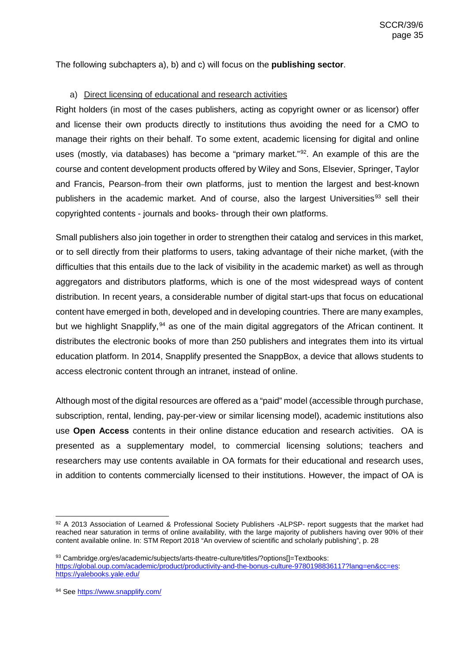The following subchapters a), b) and c) will focus on the **publishing sector**.

### <span id="page-34-0"></span>a) Direct licensing of educational and research activities

Right holders (in most of the cases publishers, acting as copyright owner or as licensor) offer and license their own products directly to institutions thus avoiding the need for a CMO to manage their rights on their behalf. To some extent, academic licensing for digital and online uses (mostly, via databases) has become a "primary market."<sup>[92](#page-34-1)</sup>. An example of this are the course and content development products offered by Wiley and Sons, Elsevier, Springer, Taylor and Francis, Pearson-from their own platforms, just to mention the largest and best-known publishers in the academic market. And of course, also the largest Universities<sup>[93](#page-34-2)</sup> sell their copyrighted contents - journals and books- through their own platforms.

Small publishers also join together in order to strengthen their catalog and services in this market, or to sell directly from their platforms to users, taking advantage of their niche market, (with the difficulties that this entails due to the lack of visibility in the academic market) as well as through aggregators and distributors platforms, which is one of the most widespread ways of content distribution. In recent years, a considerable number of digital start-ups that focus on educational content have emerged in both, developed and in developing countries. There are many examples, but we highlight Snapplify,<sup>[94](#page-34-3)</sup> as one of the main digital aggregators of the African continent. It distributes the electronic books of more than 250 publishers and integrates them into its virtual education platform. In 2014, Snapplify presented the SnappBox, a device that allows students to access electronic content through an intranet, instead of online.

Although most of the digital resources are offered as a "paid" model (accessible through purchase, subscription, rental, lending, pay-per-view or similar licensing model), academic institutions also use **Open Access** contents in their online distance education and research activities. OA is presented as a supplementary model, to commercial licensing solutions; teachers and researchers may use contents available in OA formats for their educational and research uses, in addition to contents commercially licensed to their institutions. However, the impact of OA is

<span id="page-34-1"></span><sup>92</sup> A 2013 Association of Learned & Professional Society Publishers -ALPSP- report suggests that the market had reached near saturation in terms of online availability, with the large majority of publishers having over 90% of their content available online. In: STM Report 2018 "An overview of scientific and scholarly publishing", p. 28

<span id="page-34-2"></span><sup>93</sup> Cambridge.org/es/academic/subjects/arts-theatre-culture/titles/?options[]=Textbooks: [https://global.oup.com/academic/product/productivity-and-the-bonus-culture-9780198836117?lang=en&cc=es:](https://global.oup.com/academic/product/productivity-and-the-bonus-culture-9780198836117?lang=en&cc=es) <https://yalebooks.yale.edu/>

<span id="page-34-3"></span><sup>94</sup> Se[e https://www.snapplify.com/](https://www.snapplify.com/)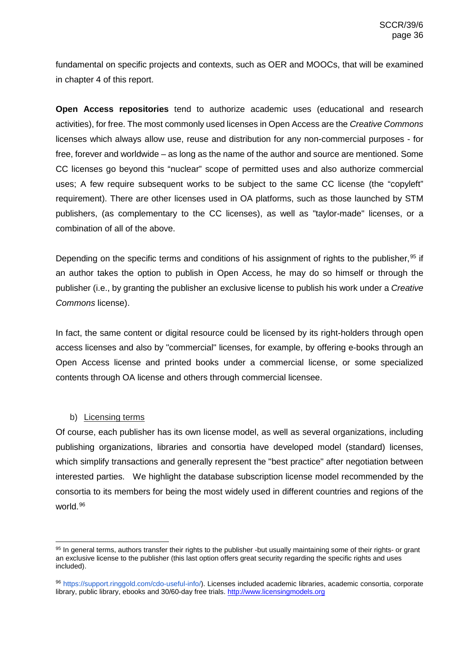fundamental on specific projects and contexts, such as OER and MOOCs, that will be examined in chapter 4 of this report.

**Open Access repositories** tend to authorize academic uses (educational and research activities), for free. The most commonly used licenses in Open Access are the *Creative Commons* licenses which always allow use, reuse and distribution for any non-commercial purposes - for free, forever and worldwide – as long as the name of the author and source are mentioned. Some CC licenses go beyond this "nuclear" scope of permitted uses and also authorize commercial uses; A few require subsequent works to be subject to the same CC license (the "copyleft" requirement). There are other licenses used in OA platforms, such as those launched by STM publishers, (as complementary to the CC licenses), as well as "taylor-made" licenses, or a combination of all of the above.

Depending on the specific terms and conditions of his assignment of rights to the publisher, <sup>[95](#page-35-1)</sup> if an author takes the option to publish in Open Access, he may do so himself or through the publisher (i.e., by granting the publisher an exclusive license to publish his work under a *Creative Commons* license).

In fact, the same content or digital resource could be licensed by its right-holders through open access licenses and also by "commercial" licenses, for example, by offering e-books through an Open Access license and printed books under a commercial license, or some specialized contents through OA license and others through commercial licensee.

### b) Licensing terms

<span id="page-35-0"></span>Of course, each publisher has its own license model, as well as several organizations, including publishing organizations, libraries and consortia have developed model (standard) licenses, which simplify transactions and generally represent the "best practice" after negotiation between interested parties. We highlight the database subscription license model recommended by the consortia to its members for being the most widely used in different countries and regions of the world. [96](#page-35-2)

<span id="page-35-1"></span><sup>95</sup> In general terms, authors transfer their rights to the publisher -but usually maintaining some of their rights- or grant an exclusive license to the publisher (this last option offers great security regarding the specific rights and uses included).

<span id="page-35-2"></span><sup>96</sup> https://support.ringgold.com/cdo-useful-info/). Licenses included academic libraries, academic consortia, corporate library, public library, ebooks and 30/60-day free trials[. http://www.licensingmodels.org](http://www.licensingmodels.org/)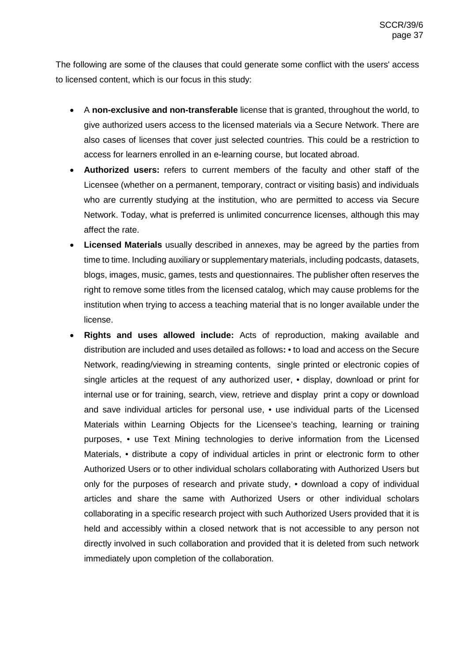The following are some of the clauses that could generate some conflict with the users' access to licensed content, which is our focus in this study:

- A **non-exclusive and non-transferable** license that is granted, throughout the world, to give authorized users access to the licensed materials via a Secure Network. There are also cases of licenses that cover just selected countries. This could be a restriction to access for learners enrolled in an e-learning course, but located abroad.
- **Authorized users:** refers to current members of the faculty and other staff of the Licensee (whether on a permanent, temporary, contract or visiting basis) and individuals who are currently studying at the institution, who are permitted to access via Secure Network. Today, what is preferred is unlimited concurrence licenses, although this may affect the rate.
- **Licensed Materials** usually described in annexes, may be agreed by the parties from time to time. Including auxiliary or supplementary materials, including podcasts, datasets, blogs, images, music, games, tests and questionnaires. The publisher often reserves the right to remove some titles from the licensed catalog, which may cause problems for the institution when trying to access a teaching material that is no longer available under the license.
- **Rights and uses allowed include:** Acts of reproduction, making available and distribution are included and uses detailed as follows**:** • to load and access on the Secure Network, reading/viewing in streaming contents, single printed or electronic copies of single articles at the request of any authorized user, • display, download or print for internal use or for training, search, view, retrieve and display print a copy or download and save individual articles for personal use, • use individual parts of the Licensed Materials within Learning Objects for the Licensee's teaching, learning or training purposes, • use Text Mining technologies to derive information from the Licensed Materials, • distribute a copy of individual articles in print or electronic form to other Authorized Users or to other individual scholars collaborating with Authorized Users but only for the purposes of research and private study, • download a copy of individual articles and share the same with Authorized Users or other individual scholars collaborating in a specific research project with such Authorized Users provided that it is held and accessibly within a closed network that is not accessible to any person not directly involved in such collaboration and provided that it is deleted from such network immediately upon completion of the collaboration.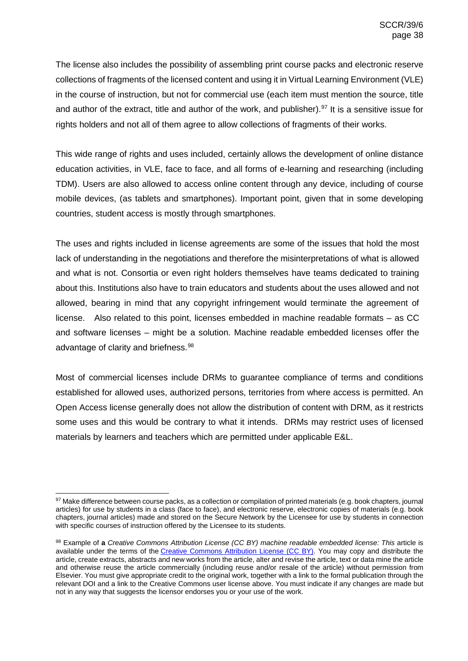The license also includes the possibility of assembling print course packs and electronic reserve collections of fragments of the licensed content and using it in Virtual Learning Environment (VLE) in the course of instruction, but not for commercial use (each item must mention the source, title and author of the extract, title and author of the work, and publisher).<sup>[97](#page-37-0)</sup> It is a sensitive issue for rights holders and not all of them agree to allow collections of fragments of their works.

This wide range of rights and uses included, certainly allows the development of online distance education activities, in VLE, face to face, and all forms of e-learning and researching (including TDM). Users are also allowed to access online content through any device, including of course mobile devices, (as tablets and smartphones). Important point, given that in some developing countries, student access is mostly through smartphones.

The uses and rights included in license agreements are some of the issues that hold the most lack of understanding in the negotiations and therefore the misinterpretations of what is allowed and what is not. Consortia or even right holders themselves have teams dedicated to training about this. Institutions also have to train educators and students about the uses allowed and not allowed, bearing in mind that any copyright infringement would terminate the agreement of license. Also related to this point, licenses embedded in machine readable formats – as CC and software licenses – might be a solution. Machine readable embedded licenses offer the advantage of clarity and briefness.<sup>[98](#page-37-1)</sup>

Most of commercial licenses include DRMs to guarantee compliance of terms and conditions established for allowed uses, authorized persons, territories from where access is permitted. An Open Access license generally does not allow the distribution of content with DRM, as it restricts some uses and this would be contrary to what it intends. DRMs may restrict uses of licensed materials by learners and teachers which are permitted under applicable E&L.

<span id="page-37-0"></span><sup>97</sup> Make difference between course packs, as a collection or compilation of printed materials (e.g. book chapters, journal articles) for use by students in a class (face to face), and electronic reserve, electronic copies of materials (e.g. book chapters, journal articles) made and stored on the Secure Network by the Licensee for use by students in connection with specific courses of instruction offered by the Licensee to its students.

<span id="page-37-1"></span><sup>98</sup> Example of **a** *Creative Commons Attribution License (CC BY) machine readable embedded license: This* article is available under the terms of the [Creative Commons Attribution License \(CC BY\).](http://creativecommons.org/licenses/by/4.0/) You may copy and distribute the article, create extracts, abstracts and new works from the article, alter and revise the article, text or data mine the article and otherwise reuse the article commercially (including reuse and/or resale of the article) without permission from Elsevier. You must give appropriate credit to the original work, together with a link to the formal publication through the relevant DOI and a link to the Creative Commons user license above. You must indicate if any changes are made but not in any way that suggests the licensor endorses you or your use of the work.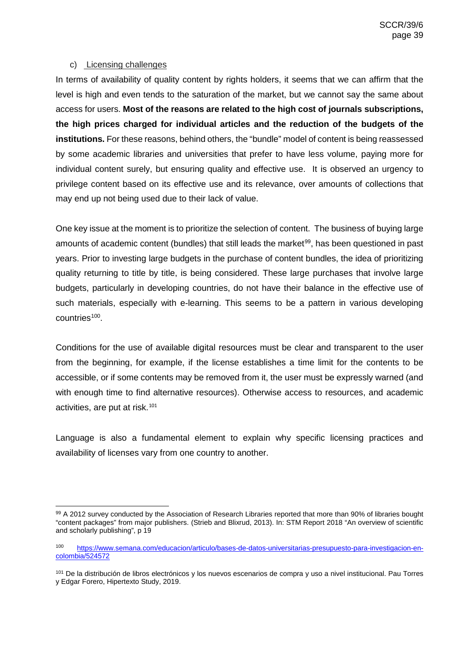### <span id="page-38-0"></span>c) Licensing challenges

In terms of availability of quality content by rights holders, it seems that we can affirm that the level is high and even tends to the saturation of the market, but we cannot say the same about access for users. **Most of the reasons are related to the high cost of journals subscriptions, the high prices charged for individual articles and the reduction of the budgets of the institutions.** For these reasons, behind others, the "bundle" model of content is being reassessed by some academic libraries and universities that prefer to have less volume, paying more for individual content surely, but ensuring quality and effective use. It is observed an urgency to privilege content based on its effective use and its relevance, over amounts of collections that may end up not being used due to their lack of value.

One key issue at the moment is to prioritize the selection of content. The business of buying large amounts of academic content (bundles) that still leads the market<sup>99</sup>, has been questioned in past years. Prior to investing large budgets in the purchase of content bundles, the idea of prioritizing quality returning to title by title, is being considered. These large purchases that involve large budgets, particularly in developing countries, do not have their balance in the effective use of such materials, especially with e-learning. This seems to be a pattern in various developing countries<sup>100</sup>.

Conditions for the use of available digital resources must be clear and transparent to the user from the beginning, for example, if the license establishes a time limit for the contents to be accessible, or if some contents may be removed from it, the user must be expressly warned (and with enough time to find alternative resources). Otherwise access to resources, and academic activities, are put at risk.<sup>[101](#page-38-3)</sup>

Language is also a fundamental element to explain why specific licensing practices and availability of licenses vary from one country to another.

<span id="page-38-1"></span><sup>99</sup> A 2012 survey conducted by the Association of Research Libraries reported that more than 90% of libraries bought "content packages" from major publishers. (Strieb and Blixrud, 2013). In: STM Report 2018 "An overview of scientific and scholarly publishing", p 19

<span id="page-38-2"></span><sup>100</sup> [https://www.semana.com/educacion/articulo/bases-de-datos-universitarias-presupuesto-para-investigacion-en](https://www.semana.com/educacion/articulo/bases-de-datos-universitarias-presupuesto-para-investigacion-en-colombia/524572)[colombia/524572](https://www.semana.com/educacion/articulo/bases-de-datos-universitarias-presupuesto-para-investigacion-en-colombia/524572)

<span id="page-38-3"></span><sup>101</sup> De la distribución de libros electrónicos y los nuevos escenarios de compra y uso a nivel institucional. Pau Torres y Edgar Forero, Hipertexto Study, 2019.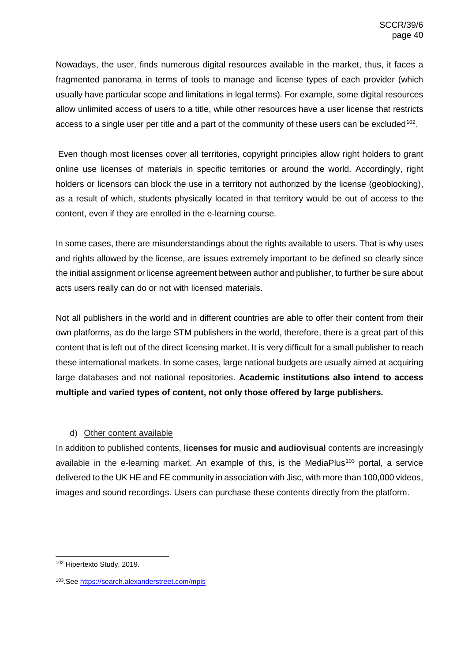Nowadays, the user, finds numerous digital resources available in the market, thus, it faces a fragmented panorama in terms of tools to manage and license types of each provider (which usually have particular scope and limitations in legal terms). For example, some digital resources allow unlimited access of users to a title, while other resources have a user license that restricts access to a single user per title and a part of the community of these users can be excluded<sup>102</sup>.

Even though most licenses cover all territories, copyright principles allow right holders to grant online use licenses of materials in specific territories or around the world. Accordingly, right holders or licensors can block the use in a territory not authorized by the license (geoblocking), as a result of which, students physically located in that territory would be out of access to the content, even if they are enrolled in the e-learning course.

In some cases, there are misunderstandings about the rights available to users. That is why uses and rights allowed by the license, are issues extremely important to be defined so clearly since the initial assignment or license agreement between author and publisher, to further be sure about acts users really can do or not with licensed materials.

Not all publishers in the world and in different countries are able to offer their content from their own platforms, as do the large STM publishers in the world, therefore, there is a great part of this content that is left out of the direct licensing market. It is very difficult for a small publisher to reach these international markets. In some cases, large national budgets are usually aimed at acquiring large databases and not national repositories. **Academic institutions also intend to access multiple and varied types of content, not only those offered by large publishers.**

# d) Other content available

<span id="page-39-0"></span>In addition to published contents, **licenses for music and audiovisual** contents are increasingly available in the e-learning market. An example of this, is the MediaPlus<sup>[103](#page-39-2)</sup> portal, a service delivered to the UK HE and FE community in association with Jisc, with more than 100,000 videos, images and sound recordings. Users can purchase these contents directly from the platform.

<span id="page-39-1"></span> <sup>102</sup> Hipertexto Study, 2019.

<span id="page-39-2"></span><sup>103.</sup>See <https://search.alexanderstreet.com/mpls>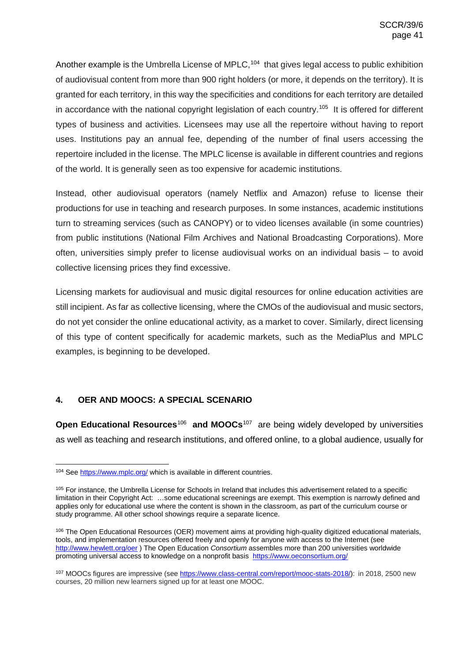Another example is the Umbrella License of MPLC,<sup>[104](#page-40-1)</sup> that gives legal access to public exhibition of audiovisual content from more than 900 right holders (or more, it depends on the territory). It is granted for each territory, in this way the specificities and conditions for each territory are detailed in accordance with the national copyright legislation of each country. [105](#page-40-2) It is offered for different types of business and activities. Licensees may use all the repertoire without having to report uses. Institutions pay an annual fee, depending of the number of final users accessing the repertoire included in the license. The MPLC license is available in different countries and regions of the world. It is generally seen as too expensive for academic institutions.

Instead, other audiovisual operators (namely Netflix and Amazon) refuse to license their productions for use in teaching and research purposes. In some instances, academic institutions turn to streaming services (such as CANOPY) or to video licenses available (in some countries) from public institutions (National Film Archives and National Broadcasting Corporations). More often, universities simply prefer to license audiovisual works on an individual basis – to avoid collective licensing prices they find excessive.

Licensing markets for audiovisual and music digital resources for online education activities are still incipient. As far as collective licensing, where the CMOs of the audiovisual and music sectors, do not yet consider the online educational activity, as a market to cover. Similarly, direct licensing of this type of content specifically for academic markets, such as the MediaPlus and MPLC examples, is beginning to be developed.

# <span id="page-40-0"></span>**4. OER AND MOOCS: A SPECIAL SCENARIO**

**Open Educational Resources<sup>[106](#page-40-3)</sup> and MOOCs<sup>107</sup> are being widely developed by universities** as well as teaching and research institutions, and offered online, to a global audience, usually for

<span id="page-40-1"></span><sup>&</sup>lt;sup>104</sup> See<https://www.mplc.org/> which is available in different countries.

<span id="page-40-2"></span><sup>&</sup>lt;sup>105</sup> For instance, the Umbrella License for Schools in Ireland that includes this advertisement related to a specific limitation in their Copyright Act: …some educational screenings are exempt. This exemption is narrowly defined and applies only for educational use where the content is shown in the classroom, as part of the curriculum course or study programme. All other school showings require a separate licence.

<span id="page-40-3"></span><sup>&</sup>lt;sup>106</sup> The Open Educational Resources (OER) movement aims at providing high-quality digitized educational materials, tools, and implementation resources offered freely and openly for anyone with access to the Internet (see <http://www.hewlett.org/oer> ) The Open Education *Consortium* assembles more than 200 universities worldwide promoting universal access to knowledge on a nonprofit basis<https://www.oeconsortium.org/>

<span id="page-40-4"></span><sup>107</sup> MOOCs figures are impressive (see [https://www.class-central.com/report/mooc-stats-2018/\)](https://www.class-central.com/report/mooc-stats-2018/): in 2018, 2500 new courses, 20 million new learners signed up for at least one MOOC.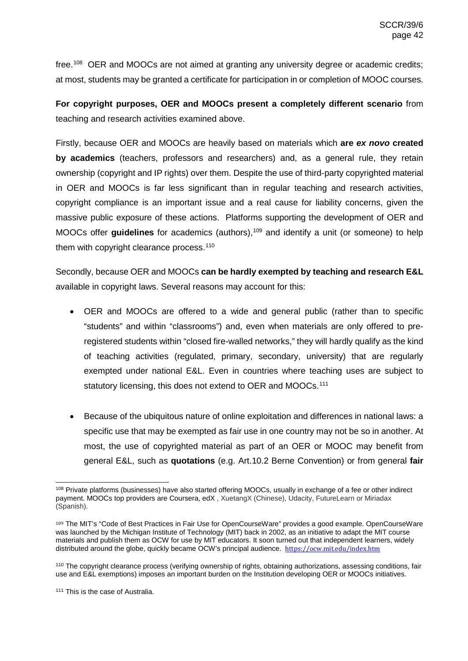free.[108](#page-41-0) OER and MOOCs are not aimed at granting any university degree or academic credits; at most, students may be granted a certificate for participation in or completion of MOOC courses.

**For copyright purposes, OER and MOOCs present a completely different scenario** from teaching and research activities examined above.

Firstly, because OER and MOOCs are heavily based on materials which **are** *ex novo* **created by academics** (teachers, professors and researchers) and, as a general rule, they retain ownership (copyright and IP rights) over them. Despite the use of third-party copyrighted material in OER and MOOCs is far less significant than in regular teaching and research activities, copyright compliance is an important issue and a real cause for liability concerns, given the massive public exposure of these actions. Platforms supporting the development of OER and MOOCs offer **guidelines** for academics (authors),<sup>[109](#page-41-1)</sup> and identify a unit (or someone) to help them with copyright clearance process. [110](#page-41-2)

Secondly, because OER and MOOCs **can be hardly exempted by teaching and research E&L** available in copyright laws. Several reasons may account for this:

- OER and MOOCs are offered to a wide and general public (rather than to specific "students" and within "classrooms") and, even when materials are only offered to preregistered students within "closed fire-walled networks," they will hardly qualify as the kind of teaching activities (regulated, primary, secondary, university) that are regularly exempted under national E&L. Even in countries where teaching uses are subject to statutory licensing, this does not extend to OER and MOOCs.<sup>111</sup>
- Because of the ubiquitous nature of online exploitation and differences in national laws: a specific use that may be exempted as fair use in one country may not be so in another. At most, the use of copyrighted material as part of an OER or MOOC may benefit from general E&L, such as **quotations** (e.g. Art.10.2 Berne Convention) or from general **fair**

<span id="page-41-0"></span><sup>&</sup>lt;sup>108</sup> Private platforms (businesses) have also started offering MOOCs, usually in exchange of a fee or other indirect payment. MOOCs top providers are Coursera, edX , XuetangX (Chinese), Udacity, FutureLearn or Miriadax (Spanish).

<span id="page-41-1"></span><sup>109</sup> The MIT's "Code of Best Practices in Fair Use for OpenCourseWare" provides a good example. OpenCourseWare was launched by the Michigan Institute of Technology (MIT) back in 2002, as an initiative to adapt the MIT course materials and publish them as OCW for use by MIT educators. It soon turned out that independent learners, widely distributed around the globe, quickly became OCW's principal audience. <https://ocw.mit.edu/index.htm>

<span id="page-41-2"></span><sup>110</sup> The copyright clearance process (verifying ownership of rights, obtaining authorizations, assessing conditions, fair use and E&L exemptions) imposes an important burden on the Institution developing OER or MOOCs initiatives.

<span id="page-41-3"></span><sup>111</sup> This is the case of Australia.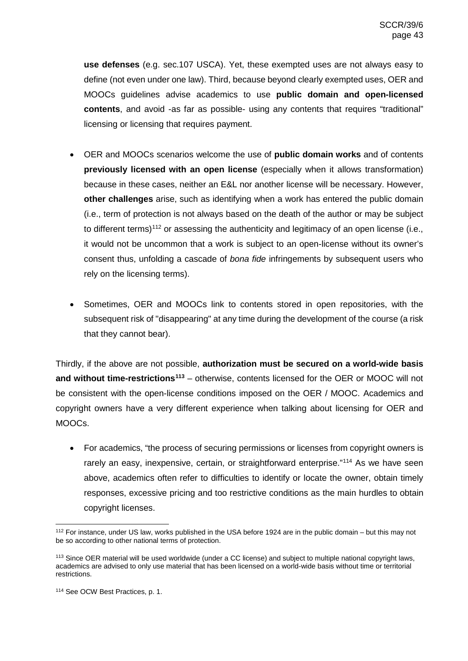**use defenses** (e.g. sec.107 USCA). Yet, these exempted uses are not always easy to define (not even under one law). Third, because beyond clearly exempted uses, OER and MOOCs guidelines advise academics to use **public domain and open-licensed contents**, and avoid -as far as possible- using any contents that requires "traditional" licensing or licensing that requires payment.

- OER and MOOCs scenarios welcome the use of **public domain works** and of contents **previously licensed with an open license** (especially when it allows transformation) because in these cases, neither an E&L nor another license will be necessary. However, **other challenges** arise, such as identifying when a work has entered the public domain (i.e., term of protection is not always based on the death of the author or may be subject to different terms)<sup>[112](#page-42-0)</sup> or assessing the authenticity and legitimacy of an open license (i.e., it would not be uncommon that a work is subject to an open-license without its owner's consent thus, unfolding a cascade of *bona fide* infringements by subsequent users who rely on the licensing terms).
- Sometimes, OER and MOOCs link to contents stored in open repositories, with the subsequent risk of "disappearing" at any time during the development of the course (a risk that they cannot bear).

Thirdly, if the above are not possible, **authorization must be secured on a world-wide basis and without time-restrictions[113](#page-42-1)** – otherwise, contents licensed for the OER or MOOC will not be consistent with the open-license conditions imposed on the OER / MOOC. Academics and copyright owners have a very different experience when talking about licensing for OER and MOOCs.

• For academics, "the process of securing permissions or licenses from copyright owners is rarely an easy, inexpensive, certain, or straightforward enterprise."<sup>[114](#page-42-2)</sup> As we have seen above, academics often refer to difficulties to identify or locate the owner, obtain timely responses, excessive pricing and too restrictive conditions as the main hurdles to obtain copyright licenses.

<span id="page-42-0"></span> <sup>112</sup> For instance, under US law, works published in the USA before 1924 are in the public domain – but this may not be so according to other national terms of protection.

<span id="page-42-1"></span><sup>&</sup>lt;sup>113</sup> Since OER material will be used worldwide (under a CC license) and subject to multiple national copyright laws, academics are advised to only use material that has been licensed on a world-wide basis without time or territorial restrictions.

<span id="page-42-2"></span><sup>114</sup> See OCW Best Practices, p. 1.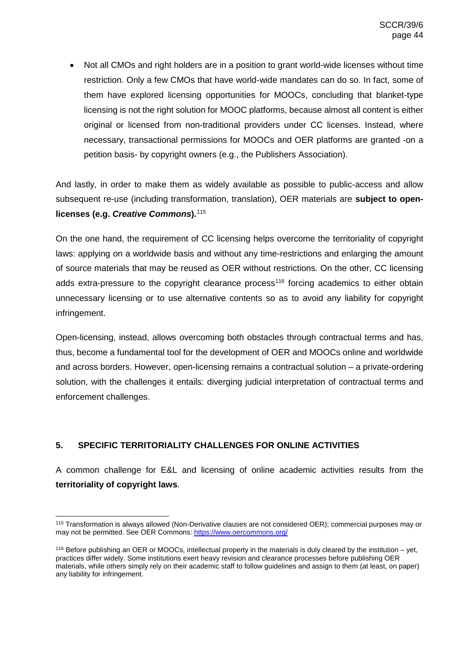• Not all CMOs and right holders are in a position to grant world-wide licenses without time restriction. Only a few CMOs that have world-wide mandates can do so. In fact, some of them have explored licensing opportunities for MOOCs, concluding that blanket-type licensing is not the right solution for MOOC platforms, because almost all content is either original or licensed from non-traditional providers under CC licenses. Instead, where necessary, transactional permissions for MOOCs and OER platforms are granted -on a petition basis- by copyright owners (e.g., the Publishers Association).

And lastly, in order to make them as widely available as possible to public-access and allow subsequent re-use (including transformation, translation), OER materials are **subject to openlicenses (e.g.** *Creative Commons***).**[115](#page-43-1)

On the one hand, the requirement of CC licensing helps overcome the territoriality of copyright laws: applying on a worldwide basis and without any time-restrictions and enlarging the amount of source materials that may be reused as OER without restrictions. On the other, CC licensing adds extra-pressure to the copyright clearance process<sup>[116](#page-43-2)</sup> forcing academics to either obtain unnecessary licensing or to use alternative contents so as to avoid any liability for copyright infringement.

Open-licensing, instead, allows overcoming both obstacles through contractual terms and has, thus, become a fundamental tool for the development of OER and MOOCs online and worldwide and across borders. However, open-licensing remains a contractual solution – a private-ordering solution, with the challenges it entails: diverging judicial interpretation of contractual terms and enforcement challenges.

# <span id="page-43-0"></span>**5. SPECIFIC TERRITORIALITY CHALLENGES FOR ONLINE ACTIVITIES**

A common challenge for E&L and licensing of online academic activities results from the **territoriality of copyright laws**.

<span id="page-43-1"></span> <sup>115</sup> Transformation is always allowed (Non-Derivative clauses are not considered OER); commercial purposes may or may not be permitted. See OER Commons:<https://www.oercommons.org/>

<span id="page-43-2"></span><sup>116</sup> Before publishing an OER or MOOCs, intellectual property in the materials is duly cleared by the institution – yet, practices differ widely. Some institutions exert heavy revision and clearance processes before publishing OER materials, while others simply rely on their academic staff to follow guidelines and assign to them (at least, on paper) any liability for infringement.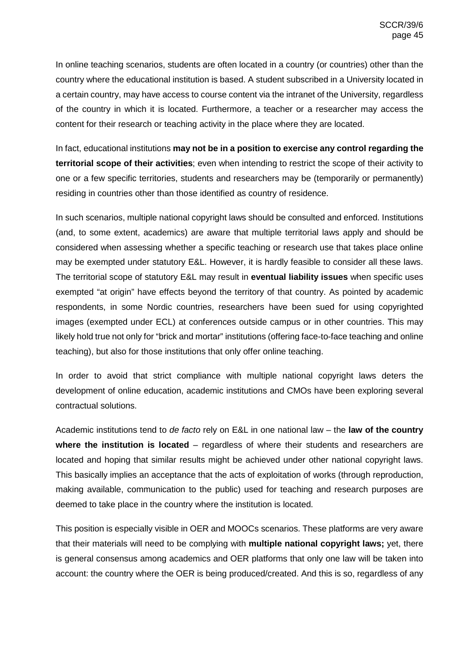In online teaching scenarios, students are often located in a country (or countries) other than the country where the educational institution is based. A student subscribed in a University located in a certain country, may have access to course content via the intranet of the University, regardless of the country in which it is located. Furthermore, a teacher or a researcher may access the content for their research or teaching activity in the place where they are located.

In fact, educational institutions **may not be in a position to exercise any control regarding the territorial scope of their activities**; even when intending to restrict the scope of their activity to one or a few specific territories, students and researchers may be (temporarily or permanently) residing in countries other than those identified as country of residence.

In such scenarios, multiple national copyright laws should be consulted and enforced. Institutions (and, to some extent, academics) are aware that multiple territorial laws apply and should be considered when assessing whether a specific teaching or research use that takes place online may be exempted under statutory E&L. However, it is hardly feasible to consider all these laws. The territorial scope of statutory E&L may result in **eventual liability issues** when specific uses exempted "at origin" have effects beyond the territory of that country. As pointed by academic respondents, in some Nordic countries, researchers have been sued for using copyrighted images (exempted under ECL) at conferences outside campus or in other countries. This may likely hold true not only for "brick and mortar" institutions (offering face-to-face teaching and online teaching), but also for those institutions that only offer online teaching.

In order to avoid that strict compliance with multiple national copyright laws deters the development of online education, academic institutions and CMOs have been exploring several contractual solutions.

Academic institutions tend to *de facto* rely on E&L in one national law – the **law of the country where the institution is located** – regardless of where their students and researchers are located and hoping that similar results might be achieved under other national copyright laws. This basically implies an acceptance that the acts of exploitation of works (through reproduction, making available, communication to the public) used for teaching and research purposes are deemed to take place in the country where the institution is located.

This position is especially visible in OER and MOOCs scenarios. These platforms are very aware that their materials will need to be complying with **multiple national copyright laws;** yet, there is general consensus among academics and OER platforms that only one law will be taken into account: the country where the OER is being produced/created. And this is so, regardless of any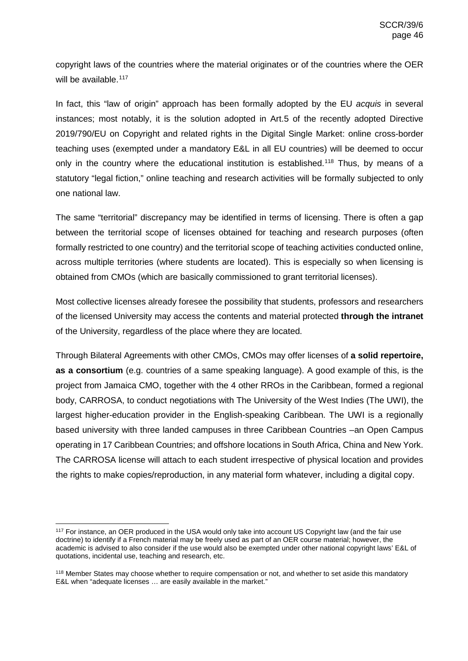copyright laws of the countries where the material originates or of the countries where the OER will be available.<sup>[117](#page-45-0)</sup>

In fact, this "law of origin" approach has been formally adopted by the EU *acquis* in several instances; most notably, it is the solution adopted in Art.5 of the recently adopted Directive 2019/790/EU on Copyright and related rights in the Digital Single Market: online cross-border teaching uses (exempted under a mandatory E&L in all EU countries) will be deemed to occur only in the country where the educational institution is established.<sup>[118](#page-45-1)</sup> Thus, by means of a statutory "legal fiction," online teaching and research activities will be formally subjected to only one national law.

The same "territorial" discrepancy may be identified in terms of licensing. There is often a gap between the territorial scope of licenses obtained for teaching and research purposes (often formally restricted to one country) and the territorial scope of teaching activities conducted online, across multiple territories (where students are located). This is especially so when licensing is obtained from CMOs (which are basically commissioned to grant territorial licenses).

Most collective licenses already foresee the possibility that students, professors and researchers of the licensed University may access the contents and material protected **through the intranet** of the University, regardless of the place where they are located.

Through Bilateral Agreements with other CMOs, CMOs may offer licenses of **a solid repertoire, as a consortium** (e.g. countries of a same speaking language). A good example of this, is the project from Jamaica CMO, together with the 4 other RROs in the Caribbean, formed a regional body, CARROSA, to conduct negotiations with The University of the West Indies (The UWI), the largest higher-education provider in the English-speaking Caribbean. The UWI is a regionally based university with three landed campuses in three Caribbean Countries –an Open Campus operating in 17 Caribbean Countries; and offshore locations in South Africa, China and New York. The CARROSA license will attach to each student irrespective of physical location and provides the rights to make copies/reproduction, in any material form whatever, including a digital copy.

<span id="page-45-0"></span> <sup>117</sup> For instance, an OER produced in the USA would only take into account US Copyright law (and the fair use doctrine) to identify if a French material may be freely used as part of an OER course material; however, the academic is advised to also consider if the use would also be exempted under other national copyright laws' E&L of quotations, incidental use, teaching and research, etc.

<span id="page-45-1"></span><sup>&</sup>lt;sup>118</sup> Member States may choose whether to require compensation or not, and whether to set aside this mandatory E&L when "adequate licenses … are easily available in the market."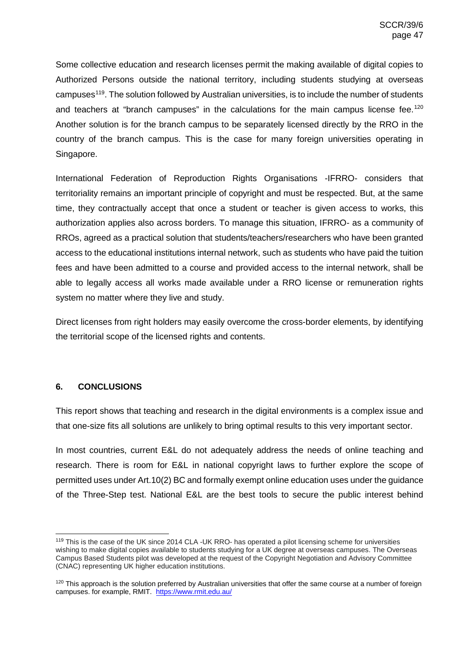Some collective education and research licenses permit the making available of digital copies to Authorized Persons outside the national territory, including students studying at overseas campuses<sup>[119](#page-46-1)</sup>. The solution followed by Australian universities, is to include the number of students and teachers at "branch campuses" in the calculations for the main campus license fee.<sup>120</sup> Another solution is for the branch campus to be separately licensed directly by the RRO in the country of the branch campus. This is the case for many foreign universities operating in Singapore.

International Federation of Reproduction Rights Organisations -IFRRO- considers that territoriality remains an important principle of copyright and must be respected. But, at the same time, they contractually accept that once a student or teacher is given access to works, this authorization applies also across borders. To manage this situation, IFRRO- as a community of RROs, agreed as a practical solution that students/teachers/researchers who have been granted access to the educational institutions internal network, such as students who have paid the tuition fees and have been admitted to a course and provided access to the internal network, shall be able to legally access all works made available under a RRO license or remuneration rights system no matter where they live and study.

Direct licenses from right holders may easily overcome the cross-border elements, by identifying the territorial scope of the licensed rights and contents.

# <span id="page-46-0"></span>**6. CONCLUSIONS**

This report shows that teaching and research in the digital environments is a complex issue and that one-size fits all solutions are unlikely to bring optimal results to this very important sector.

In most countries, current E&L do not adequately address the needs of online teaching and research. There is room for E&L in national copyright laws to further explore the scope of permitted uses under Art.10(2) BC and formally exempt online education uses under the guidance of the Three-Step test. National E&L are the best tools to secure the public interest behind

<span id="page-46-1"></span> <sup>119</sup> This is the case of the UK since 2014 CLA -UK RRO- has operated a pilot licensing scheme for universities wishing to make digital copies available to students studying for a UK degree at overseas campuses. The Overseas Campus Based Students pilot was developed at the request of the Copyright Negotiation and Advisory Committee (CNAC) representing UK higher education institutions.

<span id="page-46-2"></span><sup>&</sup>lt;sup>120</sup> This approach is the solution preferred by Australian universities that offer the same course at a number of foreign campuses. for example, RMIT. <https://www.rmit.edu.au/>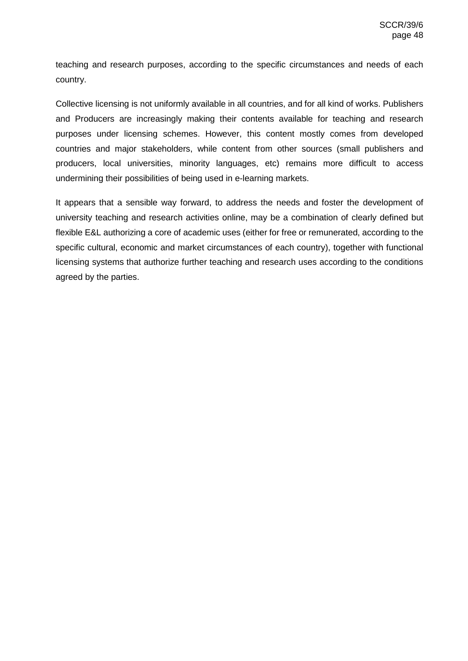teaching and research purposes, according to the specific circumstances and needs of each country.

Collective licensing is not uniformly available in all countries, and for all kind of works. Publishers and Producers are increasingly making their contents available for teaching and research purposes under licensing schemes. However, this content mostly comes from developed countries and major stakeholders, while content from other sources (small publishers and producers, local universities, minority languages, etc) remains more difficult to access undermining their possibilities of being used in e-learning markets.

It appears that a sensible way forward, to address the needs and foster the development of university teaching and research activities online, may be a combination of clearly defined but flexible E&L authorizing a core of academic uses (either for free or remunerated, according to the specific cultural, economic and market circumstances of each country), together with functional licensing systems that authorize further teaching and research uses according to the conditions agreed by the parties.